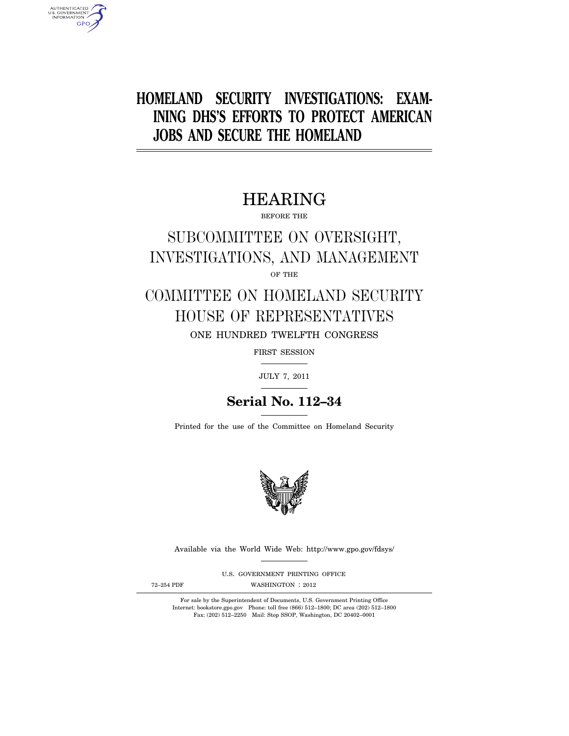# **HOMELAND SECURITY INVESTIGATIONS: EXAM-INING DHS'S EFFORTS TO PROTECT AMERICAN JOBS AND SECURE THE HOMELAND**

# HEARING

BEFORE THE

# SUBCOMMITTEE ON OVERSIGHT, INVESTIGATIONS, AND MANAGEMENT OF THE

# COMMITTEE ON HOMELAND SECURITY HOUSE OF REPRESENTATIVES ONE HUNDRED TWELFTH CONGRESS

FIRST SESSION

JULY 7, 2011

# **Serial No. 112–34**

Printed for the use of the Committee on Homeland Security



Available via the World Wide Web: http://www.gpo.gov/fdsys/

U.S. GOVERNMENT PRINTING OFFICE

AUTHENTICATED<br>U.S. GOVERNMENT<br>INFORMATION **GPO** 

72-254 PDF WASHINGTON : 2012

For sale by the Superintendent of Documents, U.S. Government Printing Office Internet: bookstore.gpo.gov Phone: toll free (866) 512–1800; DC area (202) 512–1800 Fax: (202) 512–2250 Mail: Stop SSOP, Washington, DC 20402–0001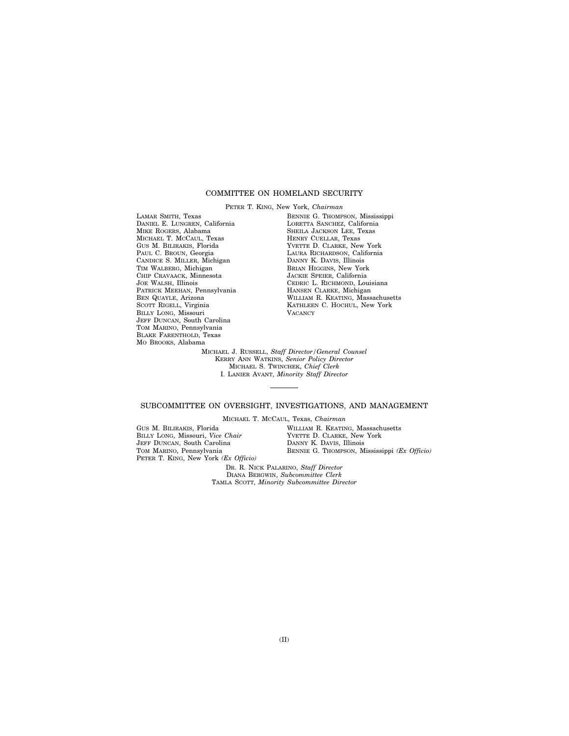# COMMITTEE ON HOMELAND SECURITY

PETER T. KING, New York, *Chairman*  LAMAR SMITH, Texas DANIEL E. LUNGREN, California MIKE ROGERS, Alabama MICHAEL T. MCCAUL, Texas GUS M. BILIRAKIS, Florida PAUL C. BROUN, Georgia CANDICE S. MILLER, Michigan TIM WALBERG, Michigan CHIP CRAVAACK, Minnesota JOE WALSH, Illinois PATRICK MEEHAN, Pennsylvania BEN QUAYLE, Arizona SCOTT RIGELL, Virginia BILLY LONG, Missouri JEFF DUNCAN, South Carolina TOM MARINO, Pennsylvania BLAKE FARENTHOLD, Texas MO BROOKS, Alabama

BENNIE G. THOMPSON, Mississippi LORETTA SANCHEZ, California SHEILA JACKSON LEE, Texas HENRY CUELLAR, Texas YVETTE D. CLARKE, New York LAURA RICHARDSON, California DANNY K. DAVIS, Illinois BRIAN HIGGINS, New York JACKIE SPEIER, California CEDRIC L. RICHMOND, Louisiana HANSEN CLARKE, Michigan WILLIAM R. KEATING, Massachusetts KATHLEEN C. HOCHUL, New York **VACANCY** 

MICHAEL J. RUSSELL, *Staff Director/General Counsel*  KERRY ANN WATKINS, *Senior Policy Director*  MICHAEL S. TWINCHEK, *Chief Clerk*  I. LANIER AVANT, *Minority Staff Director* 

# SUBCOMMITTEE ON OVERSIGHT, INVESTIGATIONS, AND MANAGEMENT

MICHAEL T. MCCAUL, Texas, *Chairman* 

GUS M. BILIRAKIS, Florida BILLY LONG, Missouri, *Vice Chair*  JEFF DUNCAN, South Carolina TOM MARINO, Pennsylvania PETER T. KING, New York *(Ex Officio)*  WILLIAM R. KEATING, Massachusetts YVETTE D. CLARKE, New York DANNY K. DAVIS, Illinois BENNIE G. THOMPSON, Mississippi *(Ex Officio)* 

DR. R. NICK PALARINO, *Staff Director*  DIANA BERGWIN, *Subcommittee Clerk*  TAMLA SCOTT, *Minority Subcommittee Director*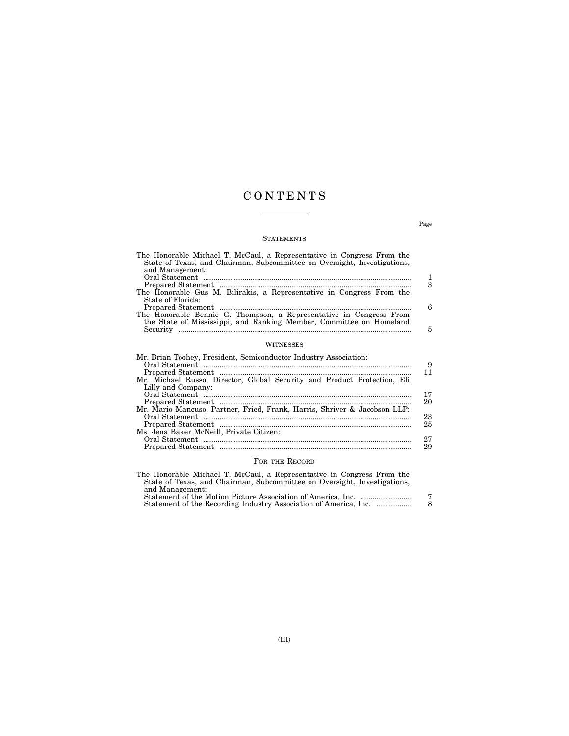# C O N T E N T S

# **STATEMENTS**

| The Honorable Michael T. McCaul, a Representative in Congress From the<br>State of Texas, and Chairman, Subcommittee on Oversight, Investigations,<br>and Management: |          |
|-----------------------------------------------------------------------------------------------------------------------------------------------------------------------|----------|
|                                                                                                                                                                       | 1        |
|                                                                                                                                                                       | 3        |
| The Honorable Gus M. Bilirakis, a Representative in Congress From the                                                                                                 |          |
| State of Florida:                                                                                                                                                     |          |
|                                                                                                                                                                       | 6        |
| The Honorable Bennie G. Thompson, a Representative in Congress From<br>the State of Mississippi, and Ranking Member, Committee on Homeland                            |          |
|                                                                                                                                                                       | 5        |
|                                                                                                                                                                       |          |
| WITNESSES                                                                                                                                                             |          |
| Mr. Brian Toohey, President, Semiconductor Industry Association:                                                                                                      |          |
|                                                                                                                                                                       | 9        |
|                                                                                                                                                                       | 11       |
| Mr. Michael Russo, Director, Global Security and Product Protection, Eli                                                                                              |          |
| Lilly and Company:                                                                                                                                                    |          |
|                                                                                                                                                                       | 17<br>20 |
| Mr. Mario Mancuso, Partner, Fried, Frank, Harris, Shriver & Jacobson LLP:                                                                                             |          |
|                                                                                                                                                                       | 23       |
|                                                                                                                                                                       | 25       |
| Ms. Jena Baker McNeill, Private Citizen:                                                                                                                              |          |
|                                                                                                                                                                       | 27       |
|                                                                                                                                                                       | 29       |

# FOR THE RECORD

| The Honorable Michael T. McCaul, a Representative in Congress From the   |   |
|--------------------------------------------------------------------------|---|
| State of Texas, and Chairman, Subcommittee on Oversight, Investigations, |   |
| and Management:                                                          |   |
|                                                                          | 7 |
| Statement of the Recording Industry Association of America, Inc.         | 8 |
|                                                                          |   |

Page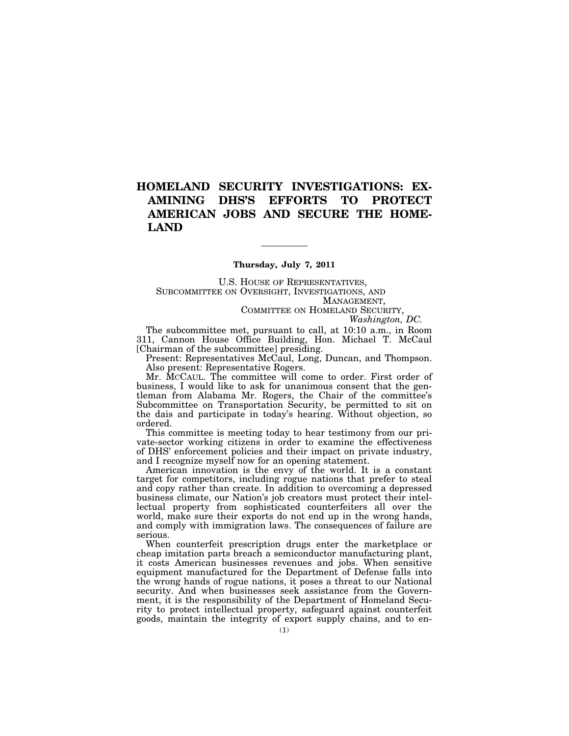# **HOMELAND SECURITY INVESTIGATIONS: EX-AMINING DHS'S EFFORTS TO PROTECT AMERICAN JOBS AND SECURE THE HOME-LAND**

# **Thursday, July 7, 2011**

U.S. HOUSE OF REPRESENTATIVES, SUBCOMMITTEE ON OVERSIGHT, INVESTIGATIONS, AND MANAGEMENT, COMMITTEE ON HOMELAND SECURITY,

*Washington, DC.* 

The subcommittee met, pursuant to call, at 10:10 a.m., in Room 311, Cannon House Office Building, Hon. Michael T. McCaul [Chairman of the subcommittee] presiding.

Present: Representatives McCaul, Long, Duncan, and Thompson. Also present: Representative Rogers.

Mr. MCCAUL. The committee will come to order. First order of business, I would like to ask for unanimous consent that the gentleman from Alabama Mr. Rogers, the Chair of the committee's Subcommittee on Transportation Security, be permitted to sit on the dais and participate in today's hearing. Without objection, so ordered.

This committee is meeting today to hear testimony from our private-sector working citizens in order to examine the effectiveness of DHS' enforcement policies and their impact on private industry, and I recognize myself now for an opening statement.

American innovation is the envy of the world. It is a constant target for competitors, including rogue nations that prefer to steal and copy rather than create. In addition to overcoming a depressed business climate, our Nation's job creators must protect their intellectual property from sophisticated counterfeiters all over the world, make sure their exports do not end up in the wrong hands, and comply with immigration laws. The consequences of failure are serious.

When counterfeit prescription drugs enter the marketplace or cheap imitation parts breach a semiconductor manufacturing plant, it costs American businesses revenues and jobs. When sensitive equipment manufactured for the Department of Defense falls into the wrong hands of rogue nations, it poses a threat to our National security. And when businesses seek assistance from the Government, it is the responsibility of the Department of Homeland Security to protect intellectual property, safeguard against counterfeit goods, maintain the integrity of export supply chains, and to en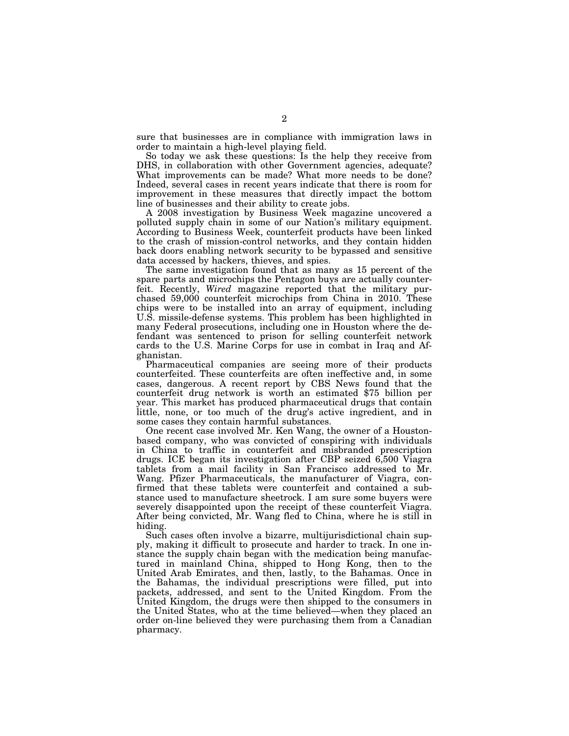sure that businesses are in compliance with immigration laws in order to maintain a high-level playing field.

So today we ask these questions: Is the help they receive from DHS, in collaboration with other Government agencies, adequate? What improvements can be made? What more needs to be done? Indeed, several cases in recent years indicate that there is room for improvement in these measures that directly impact the bottom line of businesses and their ability to create jobs.

A 2008 investigation by Business Week magazine uncovered a polluted supply chain in some of our Nation's military equipment. According to Business Week, counterfeit products have been linked to the crash of mission-control networks, and they contain hidden back doors enabling network security to be bypassed and sensitive data accessed by hackers, thieves, and spies.

The same investigation found that as many as 15 percent of the spare parts and microchips the Pentagon buys are actually counterfeit. Recently, *Wired* magazine reported that the military purchased 59,000 counterfeit microchips from China in 2010. These chips were to be installed into an array of equipment, including U.S. missile-defense systems. This problem has been highlighted in many Federal prosecutions, including one in Houston where the defendant was sentenced to prison for selling counterfeit network cards to the U.S. Marine Corps for use in combat in Iraq and Afghanistan.

Pharmaceutical companies are seeing more of their products counterfeited. These counterfeits are often ineffective and, in some cases, dangerous. A recent report by CBS News found that the counterfeit drug network is worth an estimated \$75 billion per year. This market has produced pharmaceutical drugs that contain little, none, or too much of the drug's active ingredient, and in some cases they contain harmful substances.

One recent case involved Mr. Ken Wang, the owner of a Houstonbased company, who was convicted of conspiring with individuals in China to traffic in counterfeit and misbranded prescription drugs. ICE began its investigation after CBP seized 6,500 Viagra tablets from a mail facility in San Francisco addressed to Mr. Wang. Pfizer Pharmaceuticals, the manufacturer of Viagra, confirmed that these tablets were counterfeit and contained a substance used to manufacture sheetrock. I am sure some buyers were severely disappointed upon the receipt of these counterfeit Viagra. After being convicted, Mr. Wang fled to China, where he is still in hiding.

Such cases often involve a bizarre, multijurisdictional chain supply, making it difficult to prosecute and harder to track. In one instance the supply chain began with the medication being manufactured in mainland China, shipped to Hong Kong, then to the United Arab Emirates, and then, lastly, to the Bahamas. Once in the Bahamas, the individual prescriptions were filled, put into packets, addressed, and sent to the United Kingdom. From the United Kingdom, the drugs were then shipped to the consumers in the United States, who at the time believed—when they placed an order on-line believed they were purchasing them from a Canadian pharmacy.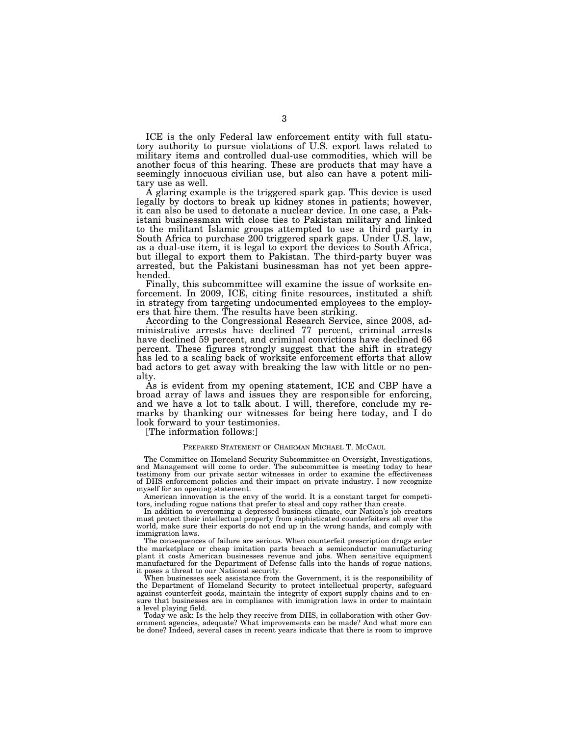ICE is the only Federal law enforcement entity with full statutory authority to pursue violations of U.S. export laws related to military items and controlled dual-use commodities, which will be another focus of this hearing. These are products that may have a seemingly innocuous civilian use, but also can have a potent military use as well.

A glaring example is the triggered spark gap. This device is used legally by doctors to break up kidney stones in patients; however, it can also be used to detonate a nuclear device. In one case, a Pakistani businessman with close ties to Pakistan military and linked to the militant Islamic groups attempted to use a third party in South Africa to purchase 200 triggered spark gaps. Under U.S. law, as a dual-use item, it is legal to export the devices to South Africa, but illegal to export them to Pakistan. The third-party buyer was arrested, but the Pakistani businessman has not yet been apprehended.

Finally, this subcommittee will examine the issue of worksite enforcement. In 2009, ICE, citing finite resources, instituted a shift in strategy from targeting undocumented employees to the employers that hire them. The results have been striking.

According to the Congressional Research Service, since 2008, administrative arrests have declined 77 percent, criminal arrests have declined 59 percent, and criminal convictions have declined 66 percent. These figures strongly suggest that the shift in strategy has led to a scaling back of worksite enforcement efforts that allow bad actors to get away with breaking the law with little or no penalty.

As is evident from my opening statement, ICE and CBP have a broad array of laws and issues they are responsible for enforcing, and we have a lot to talk about. I will, therefore, conclude my remarks by thanking our witnesses for being here today, and I do look forward to your testimonies.

[The information follows:]

#### PREPARED STATEMENT OF CHAIRMAN MICHAEL T. MCCAUL

The Committee on Homeland Security Subcommittee on Oversight, Investigations, and Management will come to order. The subcommittee is meeting today to hear testimony from our private sector witnesses in order to examine the effectiveness of DHS enforcement policies and their impact on private industry. I now recognize myself for an opening statement.

American innovation is the envy of the world. It is a constant target for competitors, including rogue nations that prefer to steal and copy rather than create.

In addition to overcoming a depressed business climate, our Nation's job creators must protect their intellectual property from sophisticated counterfeiters all over the world, make sure their exports do not end up in the wrong hands, and comply with immigration laws.

The consequences of failure are serious. When counterfeit prescription drugs enter the marketplace or cheap imitation parts breach a semiconductor manufacturing plant it costs American businesses revenue and jobs. When sensitive equipment manufactured for the Department of Defense falls into the hands of rogue nations, it poses a threat to our National security.

When businesses seek assistance from the Government, it is the responsibility of the Department of Homeland Security to protect intellectual property, safeguard against counterfeit goods, maintain the integrity of export supply chains and to ensure that businesses are in compliance with immigration laws in order to maintain a level playing field.

Today we ask: Is the help they receive from DHS, in collaboration with other Government agencies, adequate? What improvements can be made? And what more can be done? Indeed, several cases in recent years indicate that there is room to improve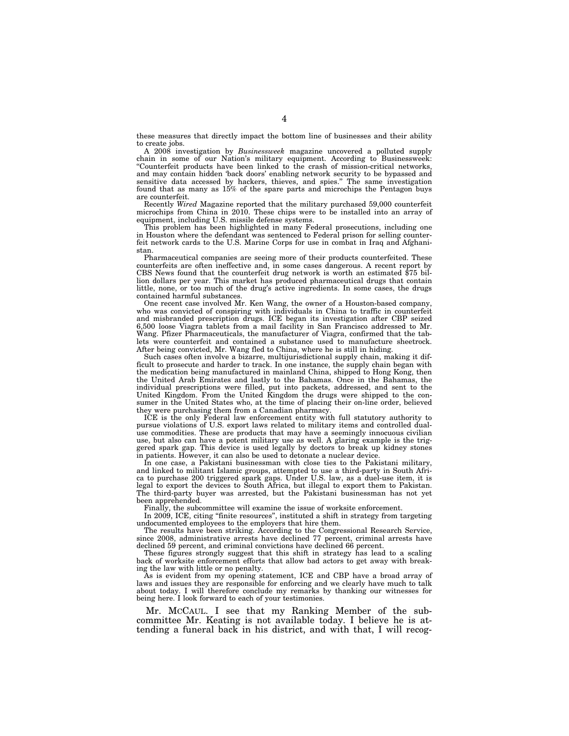these measures that directly impact the bottom line of businesses and their ability to create jobs.

A 2008 investigation by *Businessweek* magazine uncovered a polluted supply chain in some of our Nation's military equipment. According to Businessweek: ''Counterfeit products have been linked to the crash of mission-critical networks, and may contain hidden 'back doors' enabling network security to be bypassed and sensitive data accessed by hackers, thieves, and spies.'' The same investigation found that as many as 15% of the spare parts and microchips the Pentagon buys are counterfeit.

Recently *Wired* Magazine reported that the military purchased 59,000 counterfeit microchips from China in 2010. These chips were to be installed into an array of equipment, including U.S. missile defense systems.

This problem has been highlighted in many Federal prosecutions, including one in Houston where the defendant was sentenced to Federal prison for selling counterfeit network cards to the U.S. Marine Corps for use in combat in Iraq and Afghanistan.

Pharmaceutical companies are seeing more of their products counterfeited. These counterfeits are often ineffective and, in some cases dangerous. A recent report by CBS News found that the counterfeit drug network is worth an estimated \$75 billion dollars per year. This market has produced pharmaceutical drugs that contain little, none, or too much of the drug's active ingredients. In some cases, the drugs contained harmful substances.

One recent case involved Mr. Ken Wang, the owner of a Houston-based company, who was convicted of conspiring with individuals in China to traffic in counterfeit and misbranded prescription drugs. ICE began its investigation after CBP seized 6,500 loose Viagra tablets from a mail facility in San Francisco addressed to Mr. Wang. Pfizer Pharmaceuticals, the manufacturer of Viagra, confirmed that the tablets were counterfeit and contained a substance used to manufacture sheetrock. After being convicted, Mr. Wang fled to China, where he is still in hiding.

Such cases often involve a bizarre, multijurisdictional supply chain, making it difficult to prosecute and harder to track. In one instance, the supply chain began with the medication being manufactured in mainland China, shipped to Hong Kong, then the United Arab Emirates and lastly to the Bahamas. Once in the Bahamas, the individual prescriptions were filled, put into packets, addressed, and sent to the United Kingdom. From the United Kingdom the drugs were shipped to the consumer in the United States who, at the time of placing their on-line order, believed they were purchasing them from a Canadian pharmacy.

ICE is the only Federal law enforcement entity with full statutory authority to pursue violations of U.S. export laws related to military items and controlled dualuse commodities. These are products that may have a seemingly innocuous civilian use, but also can have a potent military use as well. A glaring example is the triggered spark gap. This device is used legally by doctors to break up kidney stones in patients. However, it can also be used to detonate a nuclear device.

In one case, a Pakistani businessman with close ties to the Pakistani military, and linked to militant Islamic groups, attempted to use a third-party in South Africa to purchase 200 triggered spark gaps. Under U.S. law, as a duel-use item, it is legal to export the devices to South Africa, but illegal to export them to Pakistan. The third-party buyer was arrested, but the Pakistani businessman has not yet been apprehended.

Finally, the subcommittee will examine the issue of worksite enforcement.

In 2009, ICE, citing ''finite resources'', instituted a shift in strategy from targeting undocumented employees to the employers that hire them.

The results have been striking. According to the Congressional Research Service, since 2008, administrative arrests have declined 77 percent, criminal arrests have declined 59 percent, and criminal convictions have declined 66 percent.

These figures strongly suggest that this shift in strategy has lead to a scaling back of worksite enforcement efforts that allow bad actors to get away with breaking the law with little or no penalty.

As is evident from my opening statement, ICE and CBP have a broad array of laws and issues they are responsible for enforcing and we clearly have much to talk about today. I will therefore conclude my remarks by thanking our witnesses for being here. I look forward to each of your testimonies.

Mr. MCCAUL. I see that my Ranking Member of the subcommittee Mr. Keating is not available today. I believe he is attending a funeral back in his district, and with that, I will recog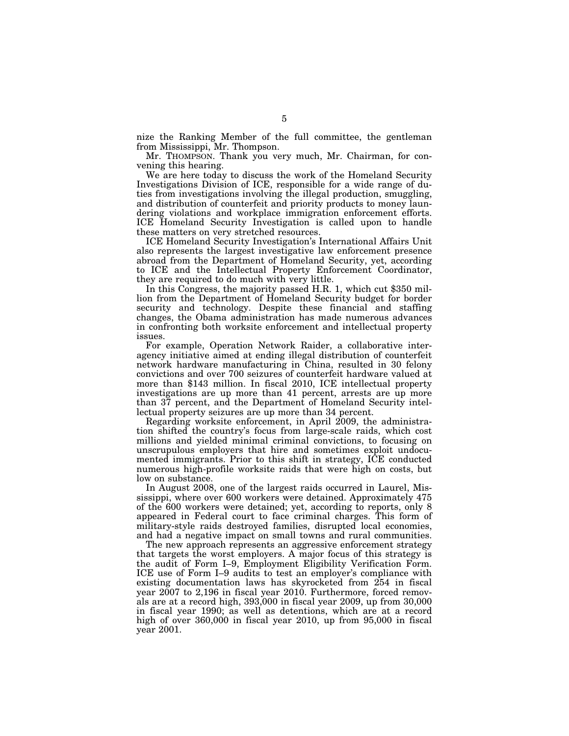nize the Ranking Member of the full committee, the gentleman from Mississippi, Mr. Thompson.

Mr. THOMPSON. Thank you very much, Mr. Chairman, for convening this hearing.

We are here today to discuss the work of the Homeland Security Investigations Division of ICE, responsible for a wide range of duties from investigations involving the illegal production, smuggling, and distribution of counterfeit and priority products to money laundering violations and workplace immigration enforcement efforts. ICE Homeland Security Investigation is called upon to handle these matters on very stretched resources.

ICE Homeland Security Investigation's International Affairs Unit also represents the largest investigative law enforcement presence abroad from the Department of Homeland Security, yet, according to ICE and the Intellectual Property Enforcement Coordinator, they are required to do much with very little.

In this Congress, the majority passed H.R. 1, which cut \$350 million from the Department of Homeland Security budget for border security and technology. Despite these financial and staffing changes, the Obama administration has made numerous advances in confronting both worksite enforcement and intellectual property issues.

For example, Operation Network Raider, a collaborative interagency initiative aimed at ending illegal distribution of counterfeit network hardware manufacturing in China, resulted in 30 felony convictions and over 700 seizures of counterfeit hardware valued at more than \$143 million. In fiscal 2010, ICE intellectual property investigations are up more than 41 percent, arrests are up more than 37 percent, and the Department of Homeland Security intellectual property seizures are up more than 34 percent.

Regarding worksite enforcement, in April 2009, the administration shifted the country's focus from large-scale raids, which cost millions and yielded minimal criminal convictions, to focusing on unscrupulous employers that hire and sometimes exploit undocumented immigrants. Prior to this shift in strategy, ICE conducted numerous high-profile worksite raids that were high on costs, but low on substance.

In August 2008, one of the largest raids occurred in Laurel, Mississippi, where over 600 workers were detained. Approximately 475 of the 600 workers were detained; yet, according to reports, only 8 appeared in Federal court to face criminal charges. This form of military-style raids destroyed families, disrupted local economies, and had a negative impact on small towns and rural communities.

The new approach represents an aggressive enforcement strategy that targets the worst employers. A major focus of this strategy is the audit of Form I–9, Employment Eligibility Verification Form. ICE use of Form I–9 audits to test an employer's compliance with existing documentation laws has skyrocketed from 254 in fiscal year 2007 to 2,196 in fiscal year 2010. Furthermore, forced removals are at a record high, 393,000 in fiscal year 2009, up from 30,000 in fiscal year 1990; as well as detentions, which are at a record high of over 360,000 in fiscal year 2010, up from 95,000 in fiscal year 2001.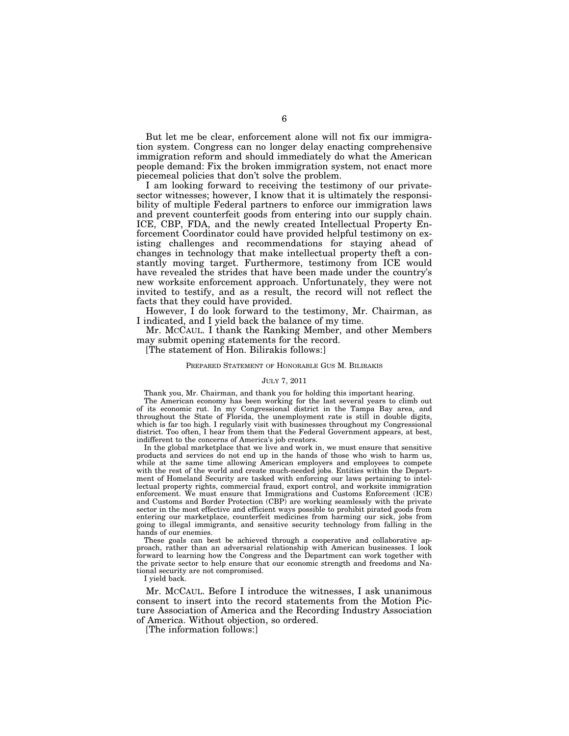But let me be clear, enforcement alone will not fix our immigration system. Congress can no longer delay enacting comprehensive immigration reform and should immediately do what the American people demand: Fix the broken immigration system, not enact more piecemeal policies that don't solve the problem.

I am looking forward to receiving the testimony of our privatesector witnesses; however, I know that it is ultimately the responsibility of multiple Federal partners to enforce our immigration laws and prevent counterfeit goods from entering into our supply chain. ICE, CBP, FDA, and the newly created Intellectual Property Enforcement Coordinator could have provided helpful testimony on existing challenges and recommendations for staying ahead of changes in technology that make intellectual property theft a constantly moving target. Furthermore, testimony from ICE would have revealed the strides that have been made under the country's new worksite enforcement approach. Unfortunately, they were not invited to testify, and as a result, the record will not reflect the facts that they could have provided.

However, I do look forward to the testimony, Mr. Chairman, as I indicated, and I yield back the balance of my time.

Mr. MCCAUL. I thank the Ranking Member, and other Members may submit opening statements for the record.

[The statement of Hon. Bilirakis follows:]

#### PREPARED STATEMENT OF HONORABLE GUS M. BILIRAKIS

## JULY 7, 2011

Thank you, Mr. Chairman, and thank you for holding this important hearing.

The American economy has been working for the last several years to climb out of its economic rut. In my Congressional district in the Tampa Bay area, and throughout the State of Florida, the unemployment rate is still in double digits, which is far too high. I regularly visit with businesses throughout my Congressional district. Too often, I hear from them that the Federal Government appears, at best, indifferent to the concerns of America's job creators.

In the global marketplace that we live and work in, we must ensure that sensitive products and services do not end up in the hands of those who wish to harm us, while at the same time allowing American employers and employees to compete with the rest of the world and create much-needed jobs. Entities within the Department of Homeland Security are tasked with enforcing our laws pertaining to intellectual property rights, commercial fraud, export control, and worksite immigration enforcement. We must ensure that Immigrations and Customs Enforcement (ICE) and Customs and Border Protection (CBP) are working seamlessly with the private sector in the most effective and efficient ways possible to prohibit pirated goods from entering our marketplace, counterfeit medicines from harming our sick, jobs from going to illegal immigrants, and sensitive security technology from falling in the hands of our enemies.

These goals can best be achieved through a cooperative and collaborative approach, rather than an adversarial relationship with American businesses. I look forward to learning how the Congress and the Department can work together with the private sector to help ensure that our economic strength and freedoms and National security are not compromised.

I yield back.

Mr. MCCAUL. Before I introduce the witnesses, I ask unanimous consent to insert into the record statements from the Motion Picture Association of America and the Recording Industry Association of America. Without objection, so ordered.

[The information follows:]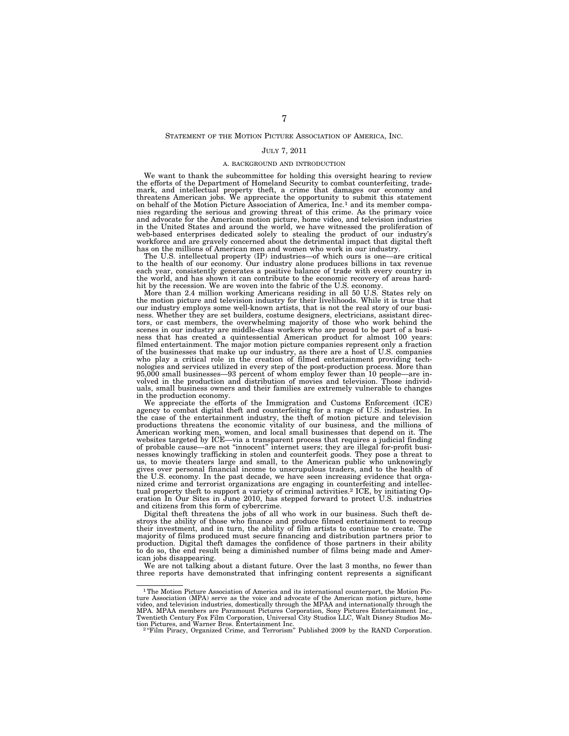## STATEMENT OF THE MOTION PICTURE ASSOCIATION OF AMERICA, INC.

# JULY 7, 2011

#### A. BACKGROUND AND INTRODUCTION

We want to thank the subcommittee for holding this oversight hearing to review the efforts of the Department of Homeland Security to combat counterfeiting, trademark, and intellectual property theft, a crime that damages our economy and threatens American jobs. We appreciate the opportunity to submit this statement on behalf of the Motion Picture Association of America, Inc.1 and its member companies regarding the serious and growing threat of this crime. As the primary voice and advocate for the American motion picture, home video, and television industries in the United States and around the world, we have witnessed the proliferation of web-based enterprises dedicated solely to stealing the product of our industry's workforce and are gravely concerned about the detrimental impact that digital theft has on the millions of American men and women who work in our industry.

The U.S. intellectual property (IP) industries—of which ours is one—are critical to the health of our economy. Our industry alone produces billions in tax revenue each year, consistently generates a positive balance of trade with every country in the world, and has shown it can contribute to the economic recovery of areas hard-

hit by the recession. We are woven into the fabric of the U.S. economy. More than 2.4 million working Americans residing in all 50 U.S. States rely on the motion picture and television industry for their livelihoods. While it is true that our industry employs some well-known artists, that is not the real story of our business. Whether they are set builders, costume designers, electricians, assistant direc-tors, or cast members, the overwhelming majority of those who work behind the scenes in our industry are middle-class workers who are proud to be part of a busi-ness that has created a quintessential American product for almost 100 years: filmed entertainment. The major motion picture companies represent only a fraction of the businesses that make up our industry, as there are a host of U.S. companies<br>who play a critical role in the creation of filmed entertainment providing tech-<br>nologies and services utilized in every step of the post-p 95,000 small businesses—93 percent of whom employ fewer than 10 people—are in-volved in the production and distribution of movies and television. Those individuals, small business owners and their families are extremely vulnerable to changes

in the production economy. We appreciate the efforts of the Immigration and Customs Enforcement (ICE) agency to combat digital theft and counterfeiting for a range of U.S. industries. In the case of the entertainment industry, the theft of motion picture and television productions threatens the economic vitality of our business, and the millions of<br>American working men, women, and local small businesses that depend on it. The<br>websites targeted by ICE—via a transparent process that requir us, to movie theaters large and small, to the American public who unknowingly gives over personal financial income to unscrupulous traders, and to the health of the U.S. economy. In the past decade, we have seen increasing evidence that organized crime and terrorist organizations are engaging in counterfeiting and intellectual property theft to support a variety of criminal activities.2 ICE, by initiating Operation In Our Sites in June 2010, has stepped forward to protect U.S. industries and citizens from this form of cybercrime.

Digital theft threatens the jobs of all who work in our business. Such theft destroys the ability of those who finance and produce filmed entertainment to recoup their investment, and in turn, the ability of film artists to continue to create. The majority of films produced must secure financing and distribution partners prior to production. Digital theft damages the confidence of those partners in their ability to do so, the end result being a diminished number of films being made and American jobs disappearing.

We are not talking about a distant future. Over the last 3 months, no fewer than three reports have demonstrated that infringing content represents a significant

<sup>&</sup>lt;sup>1</sup>The Motion Picture Association of America and its international counterpart, the Motion Picture Association (MPA) serve as the voice and advocate of the American motion picture, home video, and television industries, domestically through the MPAA and internationally through the<br>MPA. MPAA members are Paramount Pictures Corporation, Sony Pictures Entertainment Inc.,<br>Twentieth Century Fox Film Corporation tion Pictures, and Warner Bros. Entertainment Inc.<br><sup>2</sup> "Film Piracy, Organized Crime, and Terrorism" Published 2009 by the RAND Corporation.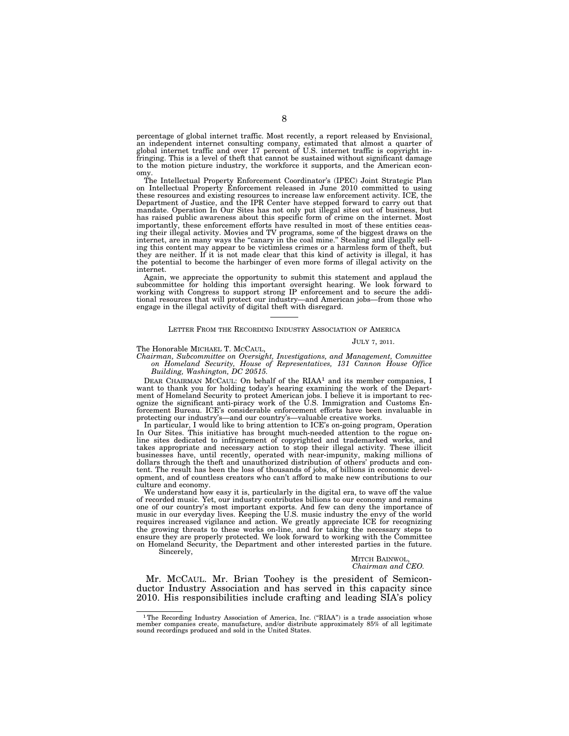percentage of global internet traffic. Most recently, a report released by Envisional, an independent internet consulting company, estimated that almost a quarter of global internet traffic and over 17 percent of U.S. internet traffic is copyright infringing. This is a level of theft that cannot be sustained without significant damage to the motion picture industry, the workforce it supports, and the American economy.

The Intellectual Property Enforcement Coordinator's (IPEC) Joint Strategic Plan on Intellectual Property Enforcement released in June 2010 committed to using these resources and existing resources to increase law enforcement activity. ICE, the Department of Justice, and the IPR Center have stepped forward to carry out that mandate. Operation In Our Sites has not only put illegal sites out of business, but has raised public awareness about this specific form of crime on the internet. Most importantly, these enforcement efforts have resulted in most of these entities ceasing their illegal activity. Movies and TV programs, some of the biggest draws on the internet, are in many ways the "canary in the coal mine." Stealing and illegally selling this content may appear to be victimless crimes or a harmless form of theft, but they are neither. If it is not made clear that this kind of activity is illegal, it has the potential to become the harbinger of even more forms of illegal activity on the internet.

Again, we appreciate the opportunity to submit this statement and applaud the subcommittee for holding this important oversight hearing. We look forward to working with Congress to support strong IP enforcement and to secure the additional resources that will protect our industry—and American jobs—from those who engage in the illegal activity of digital theft with disregard.

#### LETTER FROM THE RECORDING INDUSTRY ASSOCIATION OF AMERICA

### JULY 7, 2011.

The Honorable MICHAEL T. MCCAUL,

*Chairman, Subcommittee on Oversight, Investigations, and Management, Committee on Homeland Security, House of Representatives, 131 Cannon House Office Building, Washington, DC 20515.* 

DEAR CHAIRMAN MCCAUL: On behalf of the RIAA<sup>1</sup> and its member companies, I want to thank you for holding today's hearing examining the work of the Department of Homeland Security to protect American jobs. I believe it is important to recognize the significant anti-piracy work of the U.S. Immigration and Customs Enforcement Bureau. ICE's considerable enforcement efforts have been invaluable in protecting our industry's—and our country's—valuable creative works.

In particular, I would like to bring attention to ICE's on-going program, Operation In Our Sites. This initiative has brought much-needed attention to the rogue online sites dedicated to infringement of copyrighted and trademarked works, and takes appropriate and necessary action to stop their illegal activity. These illicit businesses have, until recently, operated with near-impunity, making millions of dollars through the theft and unauthorized distribution of others' products and content. The result has been the loss of thousands of jobs, of billions in economic development, and of countless creators who can't afford to make new contributions to our culture and economy.

We understand how easy it is, particularly in the digital era, to wave off the value of recorded music. Yet, our industry contributes billions to our economy and remains one of our country's most important exports. And few can deny the importance of music in our everyday lives. Keeping the U.S. music industry the envy of the world requires increased vigilance and action. We greatly appreciate ICE for recognizing the growing threats to these works on-line, and for taking the necessary steps to ensure they are properly protected. We look forward to working with the Committee on Homeland Security, the Department and other interested parties in the future. Sincerely,

> MITCH BAINWOL, *Chairman and CEO.*

Mr. MCCAUL. Mr. Brian Toohey is the president of Semiconductor Industry Association and has served in this capacity since 2010. His responsibilities include crafting and leading SIA's policy

<sup>&</sup>lt;sup>1</sup>The Recording Industry Association of America, Inc. ("RIAA") is a trade association whose member companies create, manufacture, and/or distribute approximately 85% of all legitimate sound recordings produced and sold in the United States.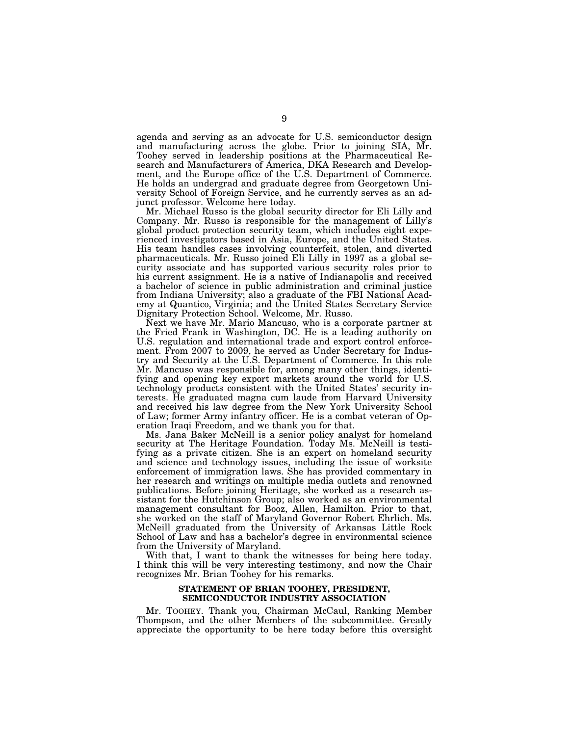agenda and serving as an advocate for U.S. semiconductor design and manufacturing across the globe. Prior to joining SIA, Mr. Toohey served in leadership positions at the Pharmaceutical Research and Manufacturers of America, DKA Research and Development, and the Europe office of the U.S. Department of Commerce. He holds an undergrad and graduate degree from Georgetown University School of Foreign Service, and he currently serves as an adjunct professor. Welcome here today.

Mr. Michael Russo is the global security director for Eli Lilly and Company. Mr. Russo is responsible for the management of Lilly's global product protection security team, which includes eight experienced investigators based in Asia, Europe, and the United States. His team handles cases involving counterfeit, stolen, and diverted pharmaceuticals. Mr. Russo joined Eli Lilly in 1997 as a global security associate and has supported various security roles prior to his current assignment. He is a native of Indianapolis and received a bachelor of science in public administration and criminal justice from Indiana University; also a graduate of the FBI National Academy at Quantico, Virginia; and the United States Secretary Service Dignitary Protection School. Welcome, Mr. Russo.

Next we have Mr. Mario Mancuso, who is a corporate partner at the Fried Frank in Washington, DC. He is a leading authority on U.S. regulation and international trade and export control enforcement. From 2007 to 2009, he served as Under Secretary for Industry and Security at the U.S. Department of Commerce. In this role Mr. Mancuso was responsible for, among many other things, identifying and opening key export markets around the world for U.S. technology products consistent with the United States' security interests. He graduated magna cum laude from Harvard University and received his law degree from the New York University School of Law; former Army infantry officer. He is a combat veteran of Operation Iraqi Freedom, and we thank you for that.

Ms. Jana Baker McNeill is a senior policy analyst for homeland security at The Heritage Foundation. Today Ms. McNeill is testifying as a private citizen. She is an expert on homeland security and science and technology issues, including the issue of worksite enforcement of immigration laws. She has provided commentary in her research and writings on multiple media outlets and renowned publications. Before joining Heritage, she worked as a research assistant for the Hutchinson Group; also worked as an environmental management consultant for Booz, Allen, Hamilton. Prior to that, she worked on the staff of Maryland Governor Robert Ehrlich. Ms. McNeill graduated from the University of Arkansas Little Rock School of Law and has a bachelor's degree in environmental science from the University of Maryland.

With that, I want to thank the witnesses for being here today. I think this will be very interesting testimony, and now the Chair recognizes Mr. Brian Toohey for his remarks.

# **STATEMENT OF BRIAN TOOHEY, PRESIDENT, SEMICONDUCTOR INDUSTRY ASSOCIATION**

Mr. TOOHEY. Thank you, Chairman McCaul, Ranking Member Thompson, and the other Members of the subcommittee. Greatly appreciate the opportunity to be here today before this oversight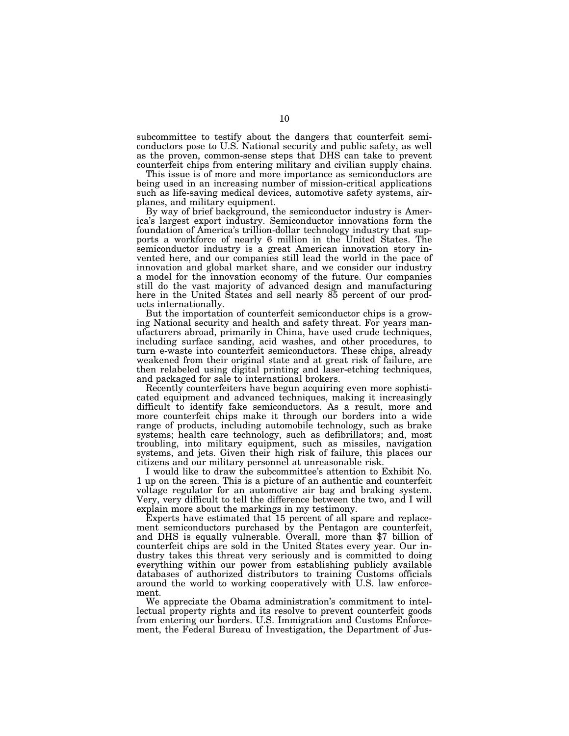subcommittee to testify about the dangers that counterfeit semiconductors pose to U.S. National security and public safety, as well as the proven, common-sense steps that DHS can take to prevent counterfeit chips from entering military and civilian supply chains.

This issue is of more and more importance as semiconductors are being used in an increasing number of mission-critical applications such as life-saving medical devices, automotive safety systems, airplanes, and military equipment.

By way of brief background, the semiconductor industry is America's largest export industry. Semiconductor innovations form the foundation of America's trillion-dollar technology industry that supports a workforce of nearly 6 million in the United States. The semiconductor industry is a great American innovation story invented here, and our companies still lead the world in the pace of innovation and global market share, and we consider our industry a model for the innovation economy of the future. Our companies still do the vast majority of advanced design and manufacturing here in the United States and sell nearly 85 percent of our products internationally.

But the importation of counterfeit semiconductor chips is a growing National security and health and safety threat. For years manufacturers abroad, primarily in China, have used crude techniques, including surface sanding, acid washes, and other procedures, to turn e-waste into counterfeit semiconductors. These chips, already weakened from their original state and at great risk of failure, are then relabeled using digital printing and laser-etching techniques, and packaged for sale to international brokers.

Recently counterfeiters have begun acquiring even more sophisticated equipment and advanced techniques, making it increasingly difficult to identify fake semiconductors. As a result, more and more counterfeit chips make it through our borders into a wide range of products, including automobile technology, such as brake systems; health care technology, such as defibrillators; and, most troubling, into military equipment, such as missiles, navigation systems, and jets. Given their high risk of failure, this places our citizens and our military personnel at unreasonable risk.

I would like to draw the subcommittee's attention to Exhibit No. 1 up on the screen. This is a picture of an authentic and counterfeit voltage regulator for an automotive air bag and braking system. Very, very difficult to tell the difference between the two, and I will explain more about the markings in my testimony.

Experts have estimated that 15 percent of all spare and replacement semiconductors purchased by the Pentagon are counterfeit, and DHS is equally vulnerable. Overall, more than \$7 billion of counterfeit chips are sold in the United States every year. Our industry takes this threat very seriously and is committed to doing everything within our power from establishing publicly available databases of authorized distributors to training Customs officials around the world to working cooperatively with U.S. law enforcement.

We appreciate the Obama administration's commitment to intellectual property rights and its resolve to prevent counterfeit goods from entering our borders. U.S. Immigration and Customs Enforcement, the Federal Bureau of Investigation, the Department of Jus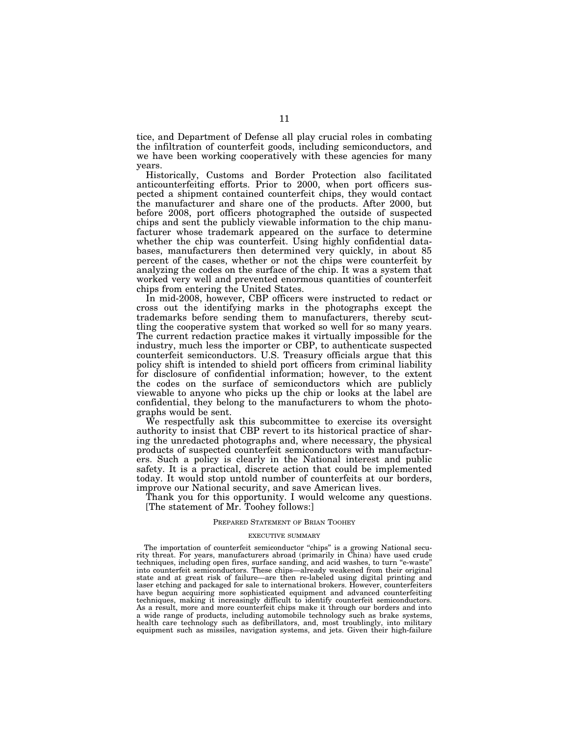tice, and Department of Defense all play crucial roles in combating the infiltration of counterfeit goods, including semiconductors, and we have been working cooperatively with these agencies for many years.

Historically, Customs and Border Protection also facilitated anticounterfeiting efforts. Prior to 2000, when port officers suspected a shipment contained counterfeit chips, they would contact the manufacturer and share one of the products. After 2000, but before 2008, port officers photographed the outside of suspected chips and sent the publicly viewable information to the chip manufacturer whose trademark appeared on the surface to determine whether the chip was counterfeit. Using highly confidential databases, manufacturers then determined very quickly, in about 85 percent of the cases, whether or not the chips were counterfeit by analyzing the codes on the surface of the chip. It was a system that worked very well and prevented enormous quantities of counterfeit chips from entering the United States.

In mid-2008, however, CBP officers were instructed to redact or cross out the identifying marks in the photographs except the trademarks before sending them to manufacturers, thereby scuttling the cooperative system that worked so well for so many years. The current redaction practice makes it virtually impossible for the industry, much less the importer or CBP, to authenticate suspected counterfeit semiconductors. U.S. Treasury officials argue that this policy shift is intended to shield port officers from criminal liability for disclosure of confidential information; however, to the extent the codes on the surface of semiconductors which are publicly viewable to anyone who picks up the chip or looks at the label are confidential, they belong to the manufacturers to whom the photographs would be sent.

We respectfully ask this subcommittee to exercise its oversight authority to insist that CBP revert to its historical practice of sharing the unredacted photographs and, where necessary, the physical products of suspected counterfeit semiconductors with manufacturers. Such a policy is clearly in the National interest and public safety. It is a practical, discrete action that could be implemented today. It would stop untold number of counterfeits at our borders, improve our National security, and save American lives.

Thank you for this opportunity. I would welcome any questions. [The statement of Mr. Toohey follows:]

## PREPARED STATEMENT OF BRIAN TOOHEY

## EXECUTIVE SUMMARY

The importation of counterfeit semiconductor "chips" is a growing National security threat. For years, manufacturers abroad (primarily in China) have used crude techniques, including open fires, surface sanding, and acid washes, to turn ''e-waste'' into counterfeit semiconductors. These chips—already weakened from their original state and at great risk of failure—are then re-labeled using digital printing and laser etching and packaged for sale to international brokers. However, counterfeiters have begun acquiring more sophisticated equipment and advanced counterfeiting techniques, making it increasingly difficult to identify counterfeit semiconductors. As a result, more and more counterfeit chips make it through our borders and into a wide range of products, including automobile technology such as brake systems, health care technology such as defibrillators, and, most troublingly, into military equipment such as missiles, navigation systems, and jets. Given their high-failure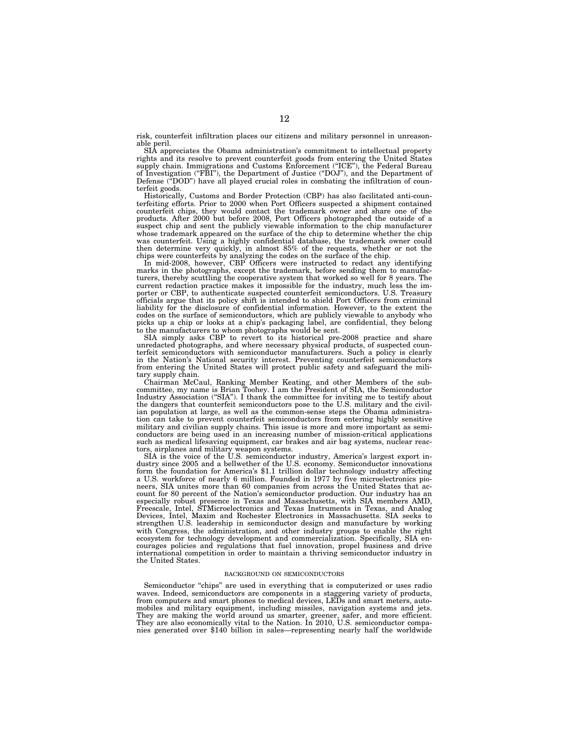risk, counterfeit infiltration places our citizens and military personnel in unreasonable peril.

SIA appreciates the Obama administration's commitment to intellectual property rights and its resolve to prevent counterfeit goods from entering the United States supply chain. Immigrations and Customs Enforcement (''ICE''), the Federal Bureau of Investigation (''FBI''), the Department of Justice (''DOJ''), and the Department of Defense ("DOD") have all played crucial roles in combating the infiltration of counterfeit goods.

Historically, Customs and Border Protection (CBP) has also facilitated anti-counterfeiting efforts. Prior to 2000 when Port Officers suspected a shipment contained counterfeit chips, they would contact the trademark owner and share one of the products. After 2000 but before 2008, Port Officers photographed the outside of a suspect chip and sent the publicly viewable information to the chip manufacturer whose trademark appeared on the surface of the chip to determine whether the chip was counterfeit. Using a highly confidential database, the trademark owner could then determine very quickly, in almost 85% of the requests, whether or not the chips were counterfeits by analyzing the codes on the surface of the chip.

In mid-2008, however, CBP Officers were instructed to redact any identifying marks in the photographs, except the trademark, before sending them to manufacturers, thereby scuttling the cooperative system that worked so well for 8 years. The current redaction practice makes it impossible for the industry, much less the importer or CBP, to authenticate suspected counterfeit semiconductors. U.S. Treasury officials argue that its policy shift is intended to shield Port Officers from criminal liability for the disclosure of confidential information. However, to the extent the codes on the surface of semiconductors, which are publicly viewable to anybody who picks up a chip or looks at a chip's packaging label, are confidential, they belong to the manufacturers to whom photographs would be sent.

SIA simply asks CBP to revert to its historical pre-2008 practice and share unredacted photographs, and where necessary physical products, of suspected counterfeit semiconductors with semiconductor manufacturers. Such a policy is clearly in the Nation's National security interest. Preventing counterfeit semiconductors from entering the United States will protect public safety and safeguard the military supply chain.

Chairman McCaul, Ranking Member Keating, and other Members of the subcommittee, my name is Brian Toohey. I am the President of SIA, the Semiconductor Industry Association ("SIA"). I thank the committee for inviting me to testify about the dangers that counterfeit semiconductors pose to the U.S. military and the civilian population at large, as well as the common-sense steps the Obama administration can take to prevent counterfeit semiconductors from entering highly sensitive military and civilian supply chains. This issue is more and more important as semiconductors are being used in an increasing number of mission-critical applications such as medical lifesaving equipment, car brakes and air bag systems, nuclear reactors, airplanes and military weapon systems.

SIA is the voice of the U.S. semiconductor industry, America's largest export industry since 2005 and a bellwether of the U.S. economy. Semiconductor innovations form the foundation for America's \$1.1 trillion dollar technology industry affecting a U.S. workforce of nearly 6 million. Founded in 1977 by five microelectronics pioneers, SIA unites more than 60 companies from across the United States that account for 80 percent of the Nation's semiconductor production. Our industry has an especially robust presence in Texas and Massachusetts, with SIA members AMD, Freescale, Intel, STMicroelectronics and Texas Instruments in Texas, and Analog Devices, Intel, Maxim and Rochester Electronics in Massachusetts. SIA seeks to strengthen U.S. leadership in semiconductor design and manufacture by working with Congress, the administration, and other industry groups to enable the right ecosystem for technology development and commercialization. Specifically, SIA encourages policies and regulations that fuel innovation, propel business and drive international competition in order to maintain a thriving semiconductor industry in the United States.

#### BACKGROUND ON SEMICONDUCTORS

Semiconductor "chips" are used in everything that is computerized or uses radio waves. Indeed, semiconductors are components in a staggering variety of products, from computers and smart phones to medical devices, LEDs and smart meters, automobiles and military equipment, including missiles, navigation systems and jets. They are making the world around us smarter, greener, safer, and more efficient. They are also economically vital to the Nation. In 2010, U.S. semiconductor companies generated over \$140 billion in sales—representing nearly half the worldwide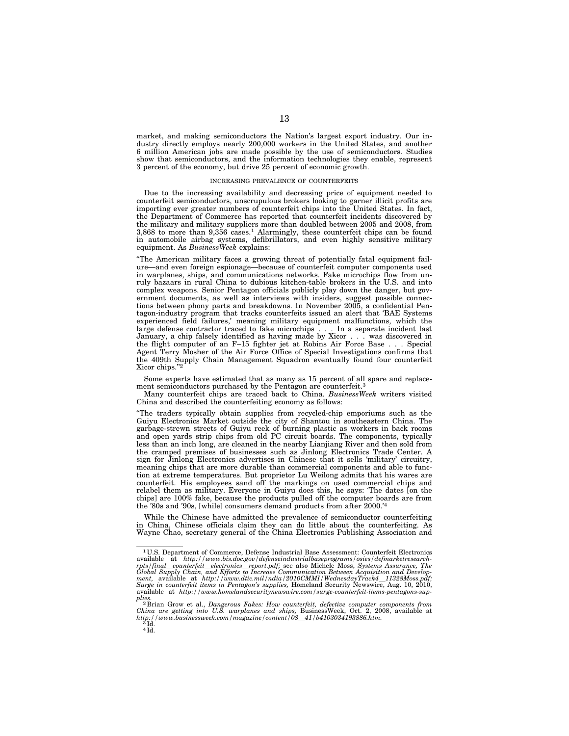market, and making semiconductors the Nation's largest export industry. Our industry directly employs nearly 200,000 workers in the United States, and another 6 million American jobs are made possible by the use of semiconductors. Studies show that semiconductors, and the information technologies they enable, represent 3 percent of the economy, but drive 25 percent of economic growth.

#### INCREASING PREVALENCE OF COUNTERFEITS

Due to the increasing availability and decreasing price of equipment needed to counterfeit semiconductors, unscrupulous brokers looking to garner illicit profits are importing ever greater numbers of counterfeit chips into the United States. In fact, the Department of Commerce has reported that counterfeit incidents discovered by the military and military suppliers more than doubled between 2005 and 2008, from 3,868 to more than 9,356 cases.1 Alarmingly, these counterfeit chips can be found in automobile airbag systems, defibrillators, and even highly sensitive military equipment. As *BusinessWeek* explains:

''The American military faces a growing threat of potentially fatal equipment failure—and even foreign espionage—because of counterfeit computer components used in warplanes, ships, and communications networks. Fake microchips flow from unruly bazaars in rural China to dubious kitchen-table brokers in the U.S. and into complex weapons. Senior Pentagon officials publicly play down the danger, but government documents, as well as interviews with insiders, suggest possible connections between phony parts and breakdowns. In November 2005, a confidential Pentagon-industry program that tracks counterfeits issued an alert that 'BAE Systems experienced field failures,' meaning military equipment malfunctions, which the large defense contractor traced to fake microchips . . . In a separate incident last January, a chip falsely identified as having made by Xicor... was discovered in the flight computer of an F–15 fighter jet at Robins Air Force Base... Special Agent Terry Mosher of the Air Force Office of Special Investigations confirms that the 409th Supply Chain Management Squadron eventually found four counterfeit Xicor chips.''2

Some experts have estimated that as many as 15 percent of all spare and replacement semiconductors purchased by the Pentagon are counterfeit.<sup>3</sup>

Many counterfeit chips are traced back to China. *BusinessWeek* writers visited China and described the counterfeiting economy as follows:

''The traders typically obtain supplies from recycled-chip emporiums such as the Guiyu Electronics Market outside the city of Shantou in southeastern China. The garbage-strewn streets of Guiyu reek of burning plastic as workers in back rooms and open yards strip chips from old PC circuit boards. The components, typically less than an inch long, are cleaned in the nearby Lianjiang River and then sold from the cramped premises of businesses such as Jinlong Electronics Trade Center. A sign for Jinlong Electronics advertises in Chinese that it sells 'military' circuitry, meaning chips that are more durable than commercial components and able to function at extreme temperatures. But proprietor Lu Weilong admits that his wares are counterfeit. His employees sand off the markings on used commercial chips and relabel them as military. Everyone in Guiyu does this, he says: 'The dates [on the chips] are 100% fake, because the products pulled off the computer boards are from the '80s and '90s, [while] consumers demand products from after 2000.'4

While the Chinese have admitted the prevalence of semiconductor counterfeiting in China, Chinese officials claim they can do little about the counterfeiting. As Wayne Chao, secretary general of the China Electronics Publishing Association and

 $4\bar{1d}$ .

<sup>1</sup> U.S. Department of Commerce, Defense Industrial Base Assessment: Counterfeit Electronics available at *http://www.bis.doc.gov/defenseindustrialbaseprograms/osies/defmarketresearch*rpts/final\_counterfeit\_electronics\_report.pdf; see also Michele Moss, Systems Assurance, The<br>Global Supply Chain, and Efforts to Increase Communication Between Acquisition and Develop-<br>ment, available at http://www.dtic.mi *Surge in counterfeit items in Pentagon's supplies,* Homeland Security Newswire, Aug. 10, 2010, available at *http://www.homelandsecuritynewswire.com/surge-counterfeit-items-pentagons-sup-*

plies.<br><sup>2</sup> Brian Grow et al., Dangerous Fakes: How counterfeit, defective computer components from<br>China are getting into U.S. warplanes and ships, BusinessWeek, Oct. 2, 2008, available at<br>http://www.businessweek.com/magaz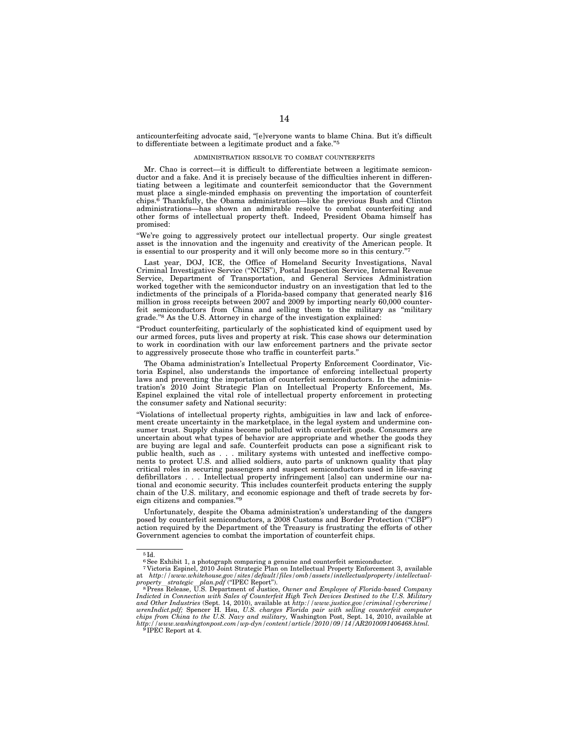anticounterfeiting advocate said, ''[e]veryone wants to blame China. But it's difficult to differentiate between a legitimate product and a fake.''5

### ADMINISTRATION RESOLVE TO COMBAT COUNTERFEITS

Mr. Chao is correct—it is difficult to differentiate between a legitimate semiconductor and a fake. And it is precisely because of the difficulties inherent in differentiating between a legitimate and counterfeit semiconductor that the Government must place a single-minded emphasis on preventing the importation of counterfeit chips.6 Thankfully, the Obama administration—like the previous Bush and Clinton administrations—has shown an admirable resolve to combat counterfeiting and other forms of intellectual property theft. Indeed, President Obama himself has promised:

''We're going to aggressively protect our intellectual property. Our single greatest asset is the innovation and the ingenuity and creativity of the American people. It is essential to our prosperity and it will only become more so in this century.'

Last year, DOJ, ICE, the Office of Homeland Security Investigations, Naval Criminal Investigative Service (''NCIS''), Postal Inspection Service, Internal Revenue Service, Department of Transportation, and General Services Administration worked together with the semiconductor industry on an investigation that led to the indictments of the principals of a Florida-based company that generated nearly \$16 million in gross receipts between 2007 and 2009 by importing nearly 60,000 counterfeit semiconductors from China and selling them to the military as ''military grade.''8 As the U.S. Attorney in charge of the investigation explained:

''Product counterfeiting, particularly of the sophisticated kind of equipment used by our armed forces, puts lives and property at risk. This case shows our determination to work in coordination with our law enforcement partners and the private sector to aggressively prosecute those who traffic in counterfeit parts.''

The Obama administration's Intellectual Property Enforcement Coordinator, Victoria Espinel, also understands the importance of enforcing intellectual property laws and preventing the importation of counterfeit semiconductors. In the administration's 2010 Joint Strategic Plan on Intellectual Property Enforcement, Ms. Espinel explained the vital role of intellectual property enforcement in protecting the consumer safety and National security:

''Violations of intellectual property rights, ambiguities in law and lack of enforcement create uncertainty in the marketplace, in the legal system and undermine consumer trust. Supply chains become polluted with counterfeit goods. Consumers are uncertain about what types of behavior are appropriate and whether the goods they are buying are legal and safe. Counterfeit products can pose a significant risk to public health, such as . . . military systems with untested and ineffective components to protect U.S. and allied soldiers, auto parts of unknown quality that play critical roles in securing passengers and suspect semiconductors used in life-saving defibrillators... Intellectual property infringement [also] can undermine our national and economic security. This includes counterfeit products entering the supply chain of the U.S. military, and economic espionage and theft of trade secrets by foreign citizens and companies.''9

Unfortunately, despite the Obama administration's understanding of the dangers posed by counterfeit semiconductors, a 2008 Customs and Border Protection ("CBP") action required by the Department of the Treasury is frustrating the efforts of other Government agencies to combat the importation of counterfeit chips.

<sup>5</sup> Id.

<sup>&</sup>lt;sup>6</sup> See Exhibit 1, a photograph comparing a genuine and counterfeit semiconductor.<br>7 Victoria Espinel, 2010 Joint Strategic Plan on Intellectual Property Enforcement 3, available at http://www.whitehouse.gov/sites/default/files/omb/assets/intellectualproperty/intellectual-<br>property\_strategic\_plan.pdf ("IPEC Report").<br><sup>8</sup> Press Release, U.S. Department of Justice, Owner and Employee of Florida-based

*Indicted in Connection with Sales of Counterfeit High Tech Devices Destined to the U.S. Military and Other Industries* (Sept. 14, 2010), available at *http://www.justice.gov/criminal/cybercrime/*  wrenIndict.pdf; Spencer H. Hsu, U.S. charges Florida pair with selling counterfeit computer<br>chips from China to the U.S. Navy and military, Washington Post, Sept. 14, 2010, available at<br>http://www.washingtonpost.com/wp-dy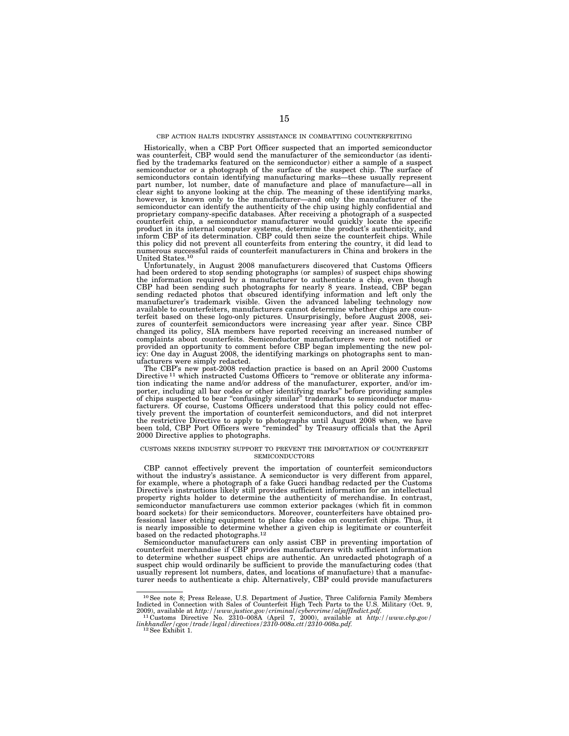## CBP ACTION HALTS INDUSTRY ASSISTANCE IN COMBATTING COUNTERFEITING

Historically, when a CBP Port Officer suspected that an imported semiconductor was counterfeit, CBP would send the manufacturer of the semiconductor (as identified by the trademarks featured on the semiconductor) either a sample of a suspect semiconductor or a photograph of the surface of the suspect chip. The surface of semiconductors contain identifying manufacturing marks—these usually represent part number, lot number, date of manufacture and place of manufacture—all in clear sight to anyone looking at the chip. The meaning of these identifying marks, however, is known only to the manufacturer—and only the manufacturer of the semiconductor can identify the authenticity of the chip using highly confidential and proprietary company-specific databases. After receiving a photograph of a suspected counterfeit chip, a semiconductor manufacturer would quickly locate the specific product in its internal computer systems, determine the product's authenticity, and inform CBP of its determination. CBP could then seize the counterfeit chips. While this policy did not prevent all counterfeits from entering the country, it did lead to numerous successful raids of counterfeit manufacturers in China and brokers in the United States.10

Unfortunately, in August 2008 manufacturers discovered that Customs Officers had been ordered to stop sending photographs (or samples) of suspect chips showing<br>the information required by a manufacturer to authenticate a chip, even though<br>CBP had been sending such photographs for nearly 8 years. In sending redacted photos that obscured identifying information and left only the manufacturer's trademark visible. Given the advanced labeling technology now available to counterfeiters, manufacturers cannot determine whether chips are coun-terfeit based on these logo-only pictures. Unsurprisingly, before August 2008, seizures of counterfeit semiconductors were increasing year after year. Since CBP changed its policy, SIA members have reported receiving an increased number of complaints about counterfeits. Semiconductor manufacturers were not notified or provided an opportunity to comment before CBP began implementing the new policy: One day in August 2008, the identifying markings on photographs sent to manufacturers were simply redacted.

The CBP's new post-2008 redaction practice is based on an April 2000 Customs Directive <sup>11</sup> which instructed Customs Officers to "remove or obliterate any information indicating the name and/or address of the manufacturer, exporter, and/or importer, including all bar codes or other identifying marks'' before providing samples of chips suspected to bear ''confusingly similar'' trademarks to semiconductor manufacturers. Of course, Customs Officers understood that this policy could not effectively prevent the importation of counterfeit semiconductors, and did not interpret the restrictive Directive to apply to photographs until August 2008 when, we have been told, CBP Port Officers were ''reminded'' by Treasury officials that the April 2000 Directive applies to photographs.

#### CUSTOMS NEEDS INDUSTRY SUPPORT TO PREVENT THE IMPORTATION OF COUNTERFEIT **SEMICONDUCTORS**

CBP cannot effectively prevent the importation of counterfeit semiconductors without the industry's assistance. A semiconductor is very different from apparel, for example, where a photograph of a fake Gucci handbag redacted per the Customs Directive's instructions likely still provides sufficient information for an intellectual property rights holder to determine the authenticity of merchandise. In contrast, semiconductor manufacturers use common exterior packages (which fit in common board sockets) for their semiconductors. Moreover, counterfeiters have obtained professional laser etching equipment to place fake codes on counterfeit chips. Thus, it is nearly impossible to determine whether a given chip is legitimate or counterfeit based on the redacted photographs.<sup>12</sup>

Semiconductor manufacturers can only assist CBP in preventing importation of counterfeit merchandise if CBP provides manufacturers with sufficient information to determine whether suspect chips are authentic. An unredacted photograph of a suspect chip would ordinarily be sufficient to provide the manufacturing codes (that usually represent lot numbers, dates, and locations of manufacture) that a manufacturer needs to authenticate a chip. Alternatively, CBP could provide manufacturers

<sup>10</sup>See note 8; Press Release, U.S. Department of Justice, Three California Family Members Indicted in Connection with Sales of Counterfeit High Tech Parts to the U.S. Military (Oct. 9,<br>2009), available at *http://www.justice.gov/criminal/cybercrime/aljaffIndict.pdf.*<br><sup>11</sup>Customs Directive No. 2310–008A (April 7

*linkhandler/cgov/trade/legal/directives/2310-008a.ctt/2310-008a.pdf.* 12See Exhibit 1.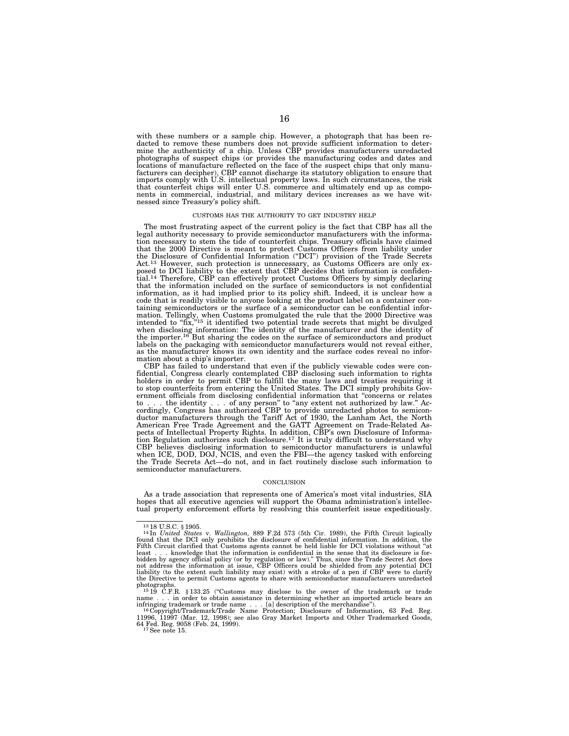with these numbers or a sample chip. However, a photograph that has been redacted to remove these numbers does not provide sufficient information to deter-mine the authenticity of a chip. Unless CBP provides manufacturers unredacted photographs of suspect chips (or provides the manufacturing codes and dates and locations of manufacture reflected on the face of the suspect chips that only manufacturers can decipher), CBP cannot discharge its statutory obligation to ensure that imports comply with U.S. intellectual property laws. In such circumstances, the risk that counterfeit chips will enter U.S. commerce and ultimately end up as compo-nents in commercial, industrial, and military devices increases as we have witnessed since Treasury's policy shift.

#### CUSTOMS HAS THE AUTHORITY TO GET INDUSTRY HELP

The most frustrating aspect of the current policy is the fact that CBP has all the legal authority necessary to provide semiconductor manufacturers with the information necessary to stem the tide of counterfeit chips. Treasury officials have claimed that the 2000 Directive is meant to protect Customs Officers from liability under the Disclosure of Confidential Information (''DCI'') provision of the Trade Secrets Act.<sup>13</sup> However, such protection is unnecessary, as Customs Officers are only exposed to DCI liability to the extent that CBP decides that information is confidential.<sup>14</sup> Therefore, CBP can effectively protect Customs Of that the information included on the surface of semiconductors is not confidential information, as it had implied prior to its policy shift. Indeed, it is unclear how a code that is readily visible to anyone looking at the product label on a container containing semiconductors or the surface of a semiconductor can be confidential information. Tellingly, when Customs promulgated the rule that the 2000 Directive was intended to "fix,"<sup>15</sup> it identified two potential trade secrets that might be divulged when disclosing information: The identity of the manufacturer and the identity of the importer.16 But sharing the codes on the surface of semiconductors and product labels on the packaging with semiconductor manufacturers would not reveal either, as the manufacturer knows its own identity and the surface codes reveal no infor-

mation about a chip's importer.<br>CBP has failed to understand that even if the publicly viewable codes were confidential, Congress clearly contemplated CBP disclosing such information to rights holders in order to permit CBP to fulfill the many laws and treaties requiring it to stop counterfeits from entering the United States. The DCI simply prohibits Gov-ernment officials from disclosing confidential information that ''concerns or relates to . . . the identity . . . of any person" to "any extent not authorized by law." Accordingly, Congress has authorized CBP to provide unredacted photos to semiconductor manufacturers through the Tariff Act of 1930, the Lan tion Regulation authorizes such disclosure.<sup>17</sup> It is truly difficult to understand why CBP believes disclosing information to semiconductor manufacturers is unlawful<br>when ICE, DOD, DOJ, NCIS, and even the FBI—the agency tasked with enforcing<br>the Trade Secrets Act—do not, and in fact routinely disclose such i semiconductor manufacturers.

#### **CONCLUSION**

As a trade association that represents one of America's most vital industries, SIA hopes that all executive agencies will support the Obama administration's intellectual property enforcement efforts by resolving this counterfeit issue expeditiously.

photographs.<br><sup>15</sup>19 C.F.R. §133.25 ("Customs may disclose to the owner of the trademark or trade<br>name . . . in order to obtain assistance in determining whether an imported article bears an

<sup>&</sup>lt;sup>13</sup> 18 U.S.C. § 1905.<br><sup>14</sup>In *United States* v. Wallington, 889 F.2d 573 (5th Cir. 1989), the Fifth Circuit logically<br>found that the DCI only prohibits the disclosure of confidential information. In addition, the<br>Fifth C not address the information at issue, CBP Officers could be shielded from any potential DCI<br>liability (to the extent such liability may exist) with a stroke of a pen if CBP were to clarify<br>the Directive to permit Customs a

infringing trademark or trade name . . . [a] description of the merchandise").<br><sup>16</sup>Copyright/Trademark/Trade Name Protection; Disclosure of Information, 63 Fed. Reg.<br>11996, 11997 (Mar. 12, 1998); see also Gray Market Impor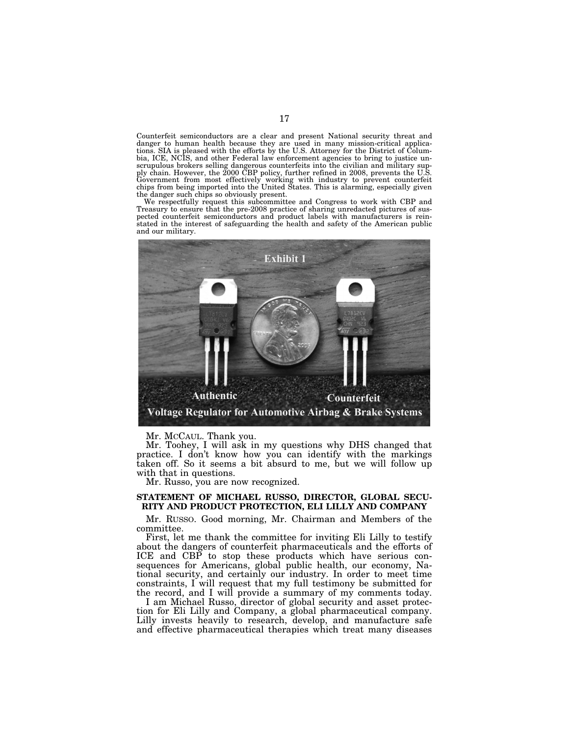Counterfeit semiconductors are a clear and present National security threat and danger to human health because they are used in many mission-critical applications. SIA is pleased with the efforts by the U.S. Attorney for the District of Columbia, ICE, NCIS, and other Federal law enforcement agencies t scrupulous brokers selling dangerous counterfeits into the civilian and military sup-<br>ply chain. However, the 2000 CBP policy, further refined in 2008, prevents the U.S.<br>Government from most effectively working with indust the danger such chips so obviously present.

We respectfully request this subcommittee and Congress to work with CBP and Treasury to ensure that the pre-2008 practice of sharing unredacted pictures of suspected counterfeit semiconductors and product labels with manufacturers is rein-stated in the interest of safeguarding the health and safety of the American public and our military.



Mr. MCCAUL. Thank you.

Mr. Toohey, I will ask in my questions why DHS changed that practice. I don't know how you can identify with the markings taken off. So it seems a bit absurd to me, but we will follow up with that in questions.

Mr. Russo, you are now recognized.

# **STATEMENT OF MICHAEL RUSSO, DIRECTOR, GLOBAL SECU-RITY AND PRODUCT PROTECTION, ELI LILLY AND COMPANY**

Mr. RUSSO. Good morning, Mr. Chairman and Members of the committee.

First, let me thank the committee for inviting Eli Lilly to testify about the dangers of counterfeit pharmaceuticals and the efforts of ICE and CBP to stop these products which have serious consequences for Americans, global public health, our economy, National security, and certainly our industry. In order to meet time constraints, I will request that my full testimony be submitted for the record, and I will provide a summary of my comments today.

I am Michael Russo, director of global security and asset protection for Eli Lilly and Company, a global pharmaceutical company. Lilly invests heavily to research, develop, and manufacture safe and effective pharmaceutical therapies which treat many diseases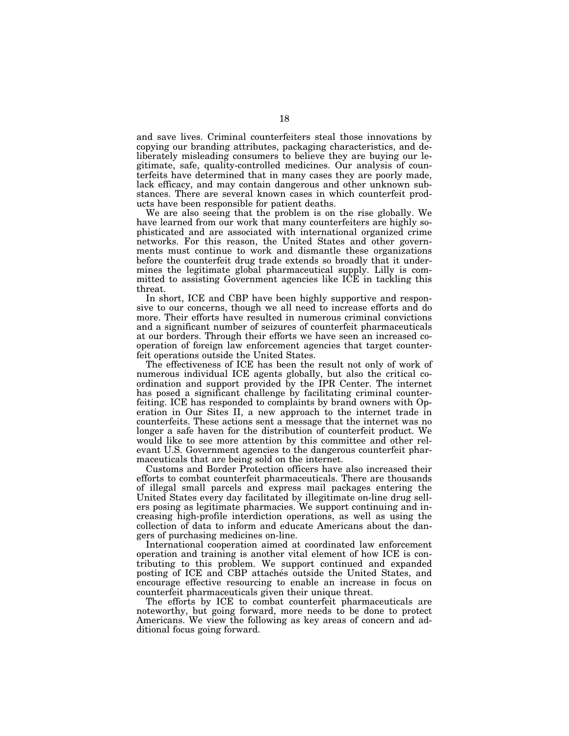and save lives. Criminal counterfeiters steal those innovations by copying our branding attributes, packaging characteristics, and deliberately misleading consumers to believe they are buying our legitimate, safe, quality-controlled medicines. Our analysis of counterfeits have determined that in many cases they are poorly made, lack efficacy, and may contain dangerous and other unknown substances. There are several known cases in which counterfeit products have been responsible for patient deaths.

We are also seeing that the problem is on the rise globally. We have learned from our work that many counterfeiters are highly sophisticated and are associated with international organized crime networks. For this reason, the United States and other governments must continue to work and dismantle these organizations before the counterfeit drug trade extends so broadly that it undermines the legitimate global pharmaceutical supply. Lilly is committed to assisting Government agencies like ICE in tackling this threat.

In short, ICE and CBP have been highly supportive and responsive to our concerns, though we all need to increase efforts and do more. Their efforts have resulted in numerous criminal convictions and a significant number of seizures of counterfeit pharmaceuticals at our borders. Through their efforts we have seen an increased cooperation of foreign law enforcement agencies that target counterfeit operations outside the United States.

The effectiveness of ICE has been the result not only of work of numerous individual ICE agents globally, but also the critical coordination and support provided by the IPR Center. The internet has posed a significant challenge by facilitating criminal counterfeiting. ICE has responded to complaints by brand owners with Operation in Our Sites II, a new approach to the internet trade in counterfeits. These actions sent a message that the internet was no longer a safe haven for the distribution of counterfeit product. We would like to see more attention by this committee and other relevant U.S. Government agencies to the dangerous counterfeit pharmaceuticals that are being sold on the internet.

Customs and Border Protection officers have also increased their efforts to combat counterfeit pharmaceuticals. There are thousands of illegal small parcels and express mail packages entering the United States every day facilitated by illegitimate on-line drug sellers posing as legitimate pharmacies. We support continuing and increasing high-profile interdiction operations, as well as using the collection of data to inform and educate Americans about the dangers of purchasing medicines on-line.

International cooperation aimed at coordinated law enforcement operation and training is another vital element of how ICE is contributing to this problem. We support continued and expanded posting of ICE and CBP attaches outside the United States, and encourage effective resourcing to enable an increase in focus on counterfeit pharmaceuticals given their unique threat.

The efforts by ICE to combat counterfeit pharmaceuticals are noteworthy, but going forward, more needs to be done to protect Americans. We view the following as key areas of concern and additional focus going forward.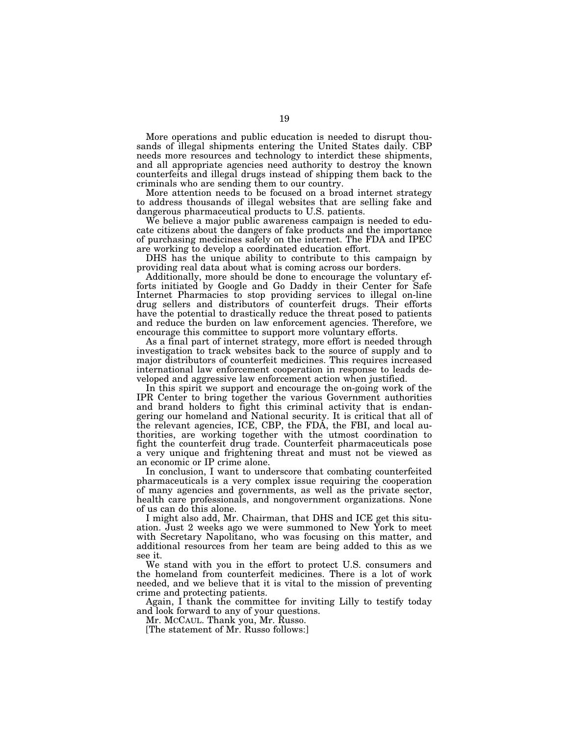More operations and public education is needed to disrupt thousands of illegal shipments entering the United States daily. CBP needs more resources and technology to interdict these shipments, and all appropriate agencies need authority to destroy the known counterfeits and illegal drugs instead of shipping them back to the criminals who are sending them to our country.

More attention needs to be focused on a broad internet strategy to address thousands of illegal websites that are selling fake and dangerous pharmaceutical products to U.S. patients.

We believe a major public awareness campaign is needed to educate citizens about the dangers of fake products and the importance of purchasing medicines safely on the internet. The FDA and IPEC are working to develop a coordinated education effort.

DHS has the unique ability to contribute to this campaign by providing real data about what is coming across our borders.

Additionally, more should be done to encourage the voluntary efforts initiated by Google and Go Daddy in their Center for Safe Internet Pharmacies to stop providing services to illegal on-line drug sellers and distributors of counterfeit drugs. Their efforts have the potential to drastically reduce the threat posed to patients and reduce the burden on law enforcement agencies. Therefore, we encourage this committee to support more voluntary efforts.

As a final part of internet strategy, more effort is needed through investigation to track websites back to the source of supply and to major distributors of counterfeit medicines. This requires increased international law enforcement cooperation in response to leads developed and aggressive law enforcement action when justified.

In this spirit we support and encourage the on-going work of the IPR Center to bring together the various Government authorities and brand holders to fight this criminal activity that is endangering our homeland and National security. It is critical that all of the relevant agencies, ICE, CBP, the FDA, the FBI, and local authorities, are working together with the utmost coordination to fight the counterfeit drug trade. Counterfeit pharmaceuticals pose a very unique and frightening threat and must not be viewed as an economic or IP crime alone.

In conclusion, I want to underscore that combating counterfeited pharmaceuticals is a very complex issue requiring the cooperation of many agencies and governments, as well as the private sector, health care professionals, and nongovernment organizations. None of us can do this alone.

I might also add, Mr. Chairman, that DHS and ICE get this situation. Just 2 weeks ago we were summoned to New York to meet with Secretary Napolitano, who was focusing on this matter, and additional resources from her team are being added to this as we see it.

We stand with you in the effort to protect U.S. consumers and the homeland from counterfeit medicines. There is a lot of work needed, and we believe that it is vital to the mission of preventing crime and protecting patients.

Again, I thank the committee for inviting Lilly to testify today and look forward to any of your questions.

Mr. MCCAUL. Thank you, Mr. Russo.

[The statement of Mr. Russo follows:]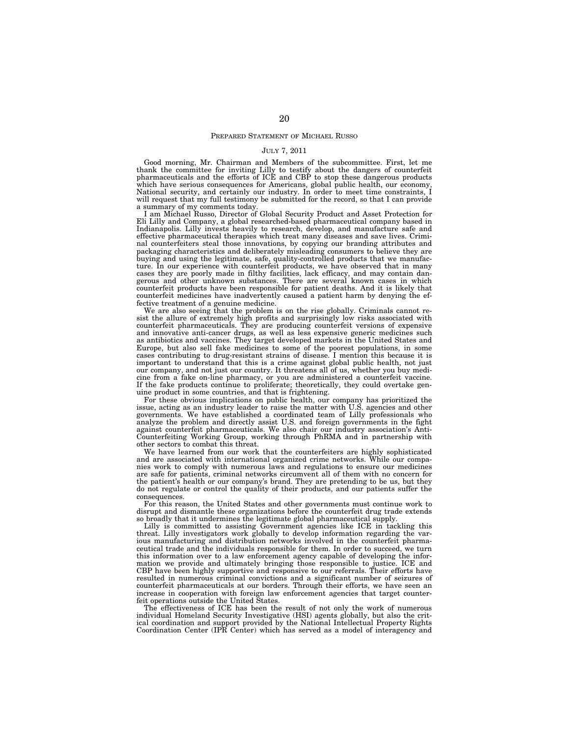## PREPARED STATEMENT OF MICHAEL RUSSO

#### JULY 7, 2011

Good morning, Mr. Chairman and Members of the subcommittee. First, let me thank the committee for inviting Lilly to testify about the dangers of counterfeit pharmaceuticals and the efforts of ICE and CBP to stop these dangerous products which have serious consequences for Americans, global public health, our economy, National security, and certainly our industry. In order to meet time constraints, I will request that my full testimony be submitted for the record, so that I can provide a summary of my comments today.

I am Michael Russo, Director of Global Security Product and Asset Protection for Eli Lilly and Company, a global researched-based pharmaceutical company based in Indianapolis. Lilly invests heavily to research, develop, and manufacture safe and effective pharmaceutical therapies which treat many diseases and save lives. Criminal counterfeiters steal those innovations, by copying our branding attributes and packaging characteristics and deliberately misleading consumers to believe they are buying and using the legitimate, safe, quality-controlled products that we manufac-ture. In our experience with counterfeit products, we have observed that in many cases they are poorly made in filthy facilities, lack efficacy, and may contain dangerous and other unknown substances. There are several known cases in which counterfeit products have been responsible for patient deaths. And it is likely that counterfeit medicines have inadvertently caused a patient harm by denying the effective treatment of a genuine medicine.

We are also seeing that the problem is on the rise globally. Criminals cannot resist the allure of extremely high profits and surprisingly low risks associated with counterfeit pharmaceuticals. They are producing counterfeit versions of expensive and innovative anti-cancer drugs, as well as less expensive generic medicines such as antibiotics and vaccines. They target developed markets in the United States and Europe, but also sell fake medicines to some of the poorest populations, in some cases contributing to drug-resistant strains of disease. I mention this because it is important to understand that this is a crime against global public health, not just our company, and not just our country. It threatens all of us, whether you buy medicine from a fake on-line pharmacy, or you are administered a counterfeit vaccine. If the fake products continue to proliferate; theoretically, they could overtake genuine product in some countries, and that is frightening.

For these obvious implications on public health, our company has prioritized the issue, acting as an industry leader to raise the matter with U.S. agencies and other governments. We have established a coordinated team of Lilly professionals who analyze the problem and directly assist U.S. and foreign governments in the fight against counterfeit pharmaceuticals. We also chair our industry association's Anti-Counterfeiting Working Group, working through PhRMA and in partnership with other sectors to combat this threat.

We have learned from our work that the counterfeiters are highly sophisticated and are associated with international organized crime networks. While our companies work to comply with numerous laws and regulations to ensure our medicines are safe for patients, criminal networks circumvent all of them with no concern for the patient's health or our company's brand. They are pretending to be us, but they do not regulate or control the quality of their products, and our patients suffer the consequences.

For this reason, the United States and other governments must continue work to disrupt and dismantle these organizations before the counterfeit drug trade extends so broadly that it undermines the legitimate global pharmaceutical supply.

Lilly is committed to assisting Government agencies like ICE in tackling this threat. Lilly investigators work globally to develop information regarding the various manufacturing and distribution networks involved in the counterfeit pharmaceutical trade and the individuals responsible for them. In order to succeed, we turn this information over to a law enforcement agency capable of developing the information we provide and ultimately bringing those responsible to justice. ICE and CBP have been highly supportive and responsive to our referrals. Their efforts have resulted in numerous criminal convictions and a significant number of seizures of counterfeit pharmaceuticals at our borders. Through their efforts, we have seen an increase in cooperation with foreign law enforcement agencies that target counterfeit operations outside the United States.

The effectiveness of ICE has been the result of not only the work of numerous individual Homeland Security Investigative (HSI) agents globally, but also the crit-ical coordination and support provided by the National Intellectual Property Rights Coordination Center (IPR Center) which has served as a model of interagency and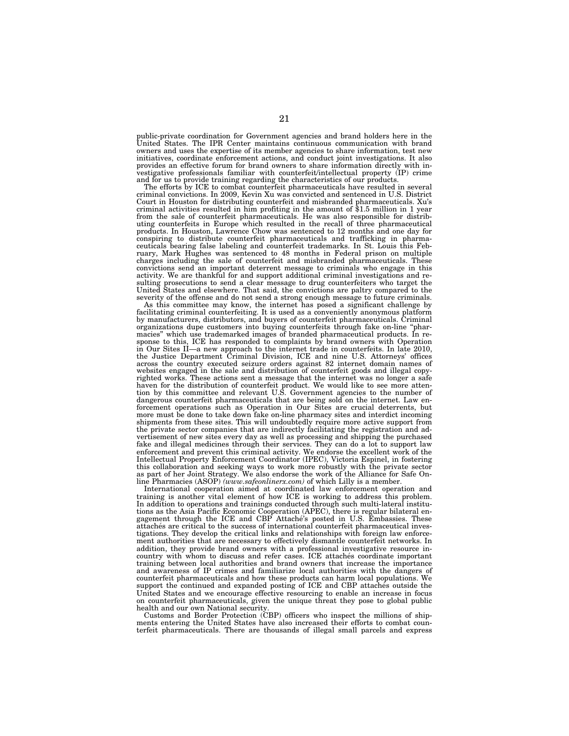public-private coordination for Government agencies and brand holders here in the United States. The IPR Center maintains continuous communication with brand owners and uses the expertise of its member agencies to share information, test new initiatives, coordinate enforcement actions, and conduct joint investigations. It also provides an effective forum for brand owners to share information directly with investigative professionals familiar with counterfeit/intellectual property (IP) crime and for us to provide training regarding the characteristics of our products.

The efforts by ICE to combat counterfeit pharmaceuticals have resulted in several criminal convictions. In 2009, Kevin Xu was convicted and sentenced in U.S. District Court in Houston for distributing counterfeit and misbranded pharmaceuticals. Xu's criminal activities resulted in him profiting in the amount of \$1.5 million in 1 year from the sale of counterfeit pharmaceuticals. He was also responsible for distrib-uting counterfeits in Europe which resulted in the recall of three pharmaceutical products. In Houston, Lawrence Chow was sentenced to 12 months and one day for conspiring to distribute counterfeit pharmaceuticals and trafficking in pharmaceuticals bearing false labeling and counterfeit trademarks. In St. Louis this February, Mark Hughes was sentenced to 48 months in Federal prison on multiple charges including the sale of counterfeit and misbranded pharmaceuticals. These convictions send an important deterrent message to criminals who engage in this activity. We are thankful for and support additional criminal investigations and resulting prosecutions to send a clear message to drug counterfeiters who target the United States and elsewhere. That said, the convictions are paltry compared to the severity of the offense and do not send a strong enough message to future criminals.

As this committee may know, the internet has posed a significant challenge by facilitating criminal counterfeiting. It is used as a conveniently anonymous platform by manufacturers, distributors, and buyers of counterfeit pharmaceuticals. Criminal organizations dupe customers into buying counterfeits through fake on-line ''phar-macies'' which use trademarked images of branded pharmaceutical products. In response to this, ICE has responded to complaints by brand owners with Operation in Our Sites II—a new approach to the internet trade in counterfeits. In late 2010, the Justice Department Criminal Division, ICE and nine U.S. Attorneys' offices across the country executed seizure orders against 82 internet domain names of websites engaged in the sale and distribution of counterfeit goods and illegal copyrighted works. These actions sent a message that the internet was no longer a safe haven for the distribution of counterfeit product. We would like to see more atten-tion by this committee and relevant U.S. Government agencies to the number of dangerous counterfeit pharmaceuticals that are being sold on the internet. Law enforcement operations such as Operation in Our Sites are crucial deterrents, but more must be done to take down fake on-line pharmacy sites and interdict incoming shipments from these sites. This will undoubtedly require more active support from the private sector companies that are indirectly facilitating the registration and advertisement of new sites every day as well as processing and shipping the purchased fake and illegal medicines through their services. They can do a lot to support law enforcement and prevent this criminal activity. We endorse the excellent work of the Intellectual Property Enforcement Coordinator (IPEC), Victoria Espinel, in fostering this collaboration and seeking ways to work more robustly with the private sector as part of her Joint Strategy. We also endorse the work of the Alliance for Safe Online Pharmacies (ASOP) *(www.safeonlinerx.com)* of which Lilly is a member.

International cooperation aimed at coordinated law enforcement operation and training is another vital element of how ICE is working to address this problem. In addition to operations and trainings conducted through such multi-lateral institutions as the Asia Pacific Economic Cooperation (APEC), there is regular bilateral en-gagement through the ICE and CBP Attache´'s posted in U.S. Embassies. These attachés are critical to the success of international counterfeit pharmaceutical investigations. They develop the critical links and relationships with foreign law enforcement authorities that are necessary to effectively dismantle counterfeit networks. In addition, they provide brand owners with a professional investigative resource incountry with whom to discuss and refer cases. ICE attaches coordinate important training between local authorities and brand owners that increase the importance and awareness of IP crimes and familiarize local authorities with the dangers of counterfeit pharmaceuticals and how these products can harm local populations. We support the continued and expanded posting of ICE and CBP attaches outside the United States and we encourage effective resourcing to enable an increase in focus on counterfeit pharmaceuticals, given the unique threat they pose to global public health and our own National security.

Customs and Border Protection (CBP) officers who inspect the millions of shipments entering the United States have also increased their efforts to combat counterfeit pharmaceuticals. There are thousands of illegal small parcels and express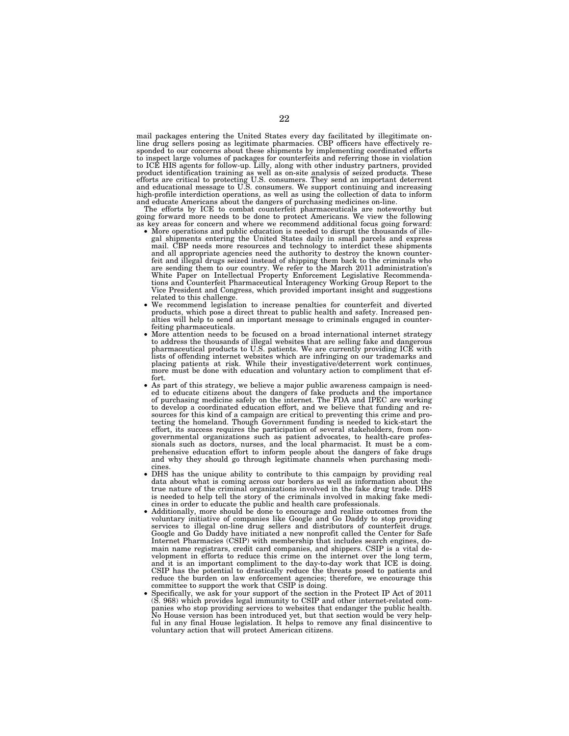mail packages entering the United States every day facilitated by illegitimate on-line drug sellers posing as legitimate pharmacies. CBP officers have effectively responded to our concerns about these shipments by implementing coordinated efforts to inspect large volumes of packages for counterfeits and referring those in violation<br>to ICE HIS agents for follow-up. Lilly, along with other industry partners, provided<br>product identification training as well as on-site high-profile interdiction operations, as well as using the collection of data to inform and educate Americans about the dangers of purchasing medicines on-line.

The efforts by ICE to combat counterfeit pharmaceuticals are noteworthy but going forward more needs to be done to protect Americans. We view the following as key areas for concern and where we recommend additional focus going forward:<br>• More operations and public education is needed to disrupt th

- More operations and public education is needed to disrupt the thousands of illegal shipments entering the United States daily in small parcels and express mail. CBP needs more resources and technology to interdict these shipments and all appropriate agencies need the authority to destroy the known counterfeit and illegal drugs seized instead of shipping them back to the criminals who are sending them to our country. We refer to the March 2011 administration's White Paper on Intellectual Property Enforcement Legislative Recommenda-tions and Counterfeit Pharmaceutical Interagency Working Group Report to the Vice President and Congress, which provided important insight and suggestions
- related to this challenge. We recommend legislation to increase penalties for counterfeit and diverted products, which pose a direct threat to public health and safety. Increased penalties will help to send an important message to criminals engaged in counter-
- More attention needs to be focused on a broad international internet strategy to address the thousands of illegal websites that are selling fake and dangerous pharmaceutical products to U.S. patients. We are currently providing ICE with<br>lists of offending internet websites which are infringing on our trademarks and<br>placing patients at risk. While their investigative/deterrent wo
- fort. As part of this strategy, we believe a major public awareness campaign is need-ed to educate citizens about the dangers of fake products and the importance of purchasing medicine safely on the internet. The FDA and IPEC are working to develop a coordinated education effort, and we believe that funding and resources for this kind of a campaign are critical to preventing this crime and protecting the homeland. Though Government funding is needed to kick-start the effort, its success requires the participation of several stakeholders, from nongovernmental organizations such as patient advocates, to health-care professionals such as doctors, nurses, and the local pharmacist. It must be a comprehensive education effort to inform people about the dangers of fake drugs and why they should go through legitimate channels when purchasing medicines.
- DHS has the unique ability to contribute to this campaign by providing real data about what is coming across our borders as well as information about the true nature of the criminal organizations involved in the fake drug trade. DHS is needed to help tell the story of the criminals involved in making fake medicines in order to educate the public and health care professionals.
- Additionally, more should be done to encourage and realize outcomes from the voluntary initiative of companies like Google and Go Daddy to stop providing services to illegal on-line drug sellers and distributors of counterfeit drugs. Google and Go Daddy have initiated a new nonprofit called the Center for Safe Internet Pharmacies (CSIP) with membership that includes search engines, domain name registrars, credit card companies, and shippers. CSIP is a vital development in efforts to reduce this crime on the internet over the long term, and it is an important compliment to the day-to-day work that ICE is doing. CSIP has the potential to drastically reduce the threats posed to patients and reduce the burden on law enforcement agencies; therefore, we encourage this committee to support the work that CSIP is doing.
- Specifically, we ask for your support of the section in the Protect IP Act of 2011 (S. 968) which provides legal immunity to CSIP and other internet-related companies who stop providing services to websites that endanger the public health. No House version has been introduced yet, but that section would be very helpful in any final House legislation. It helps to remove any final disincentive to voluntary action that will protect American citizens.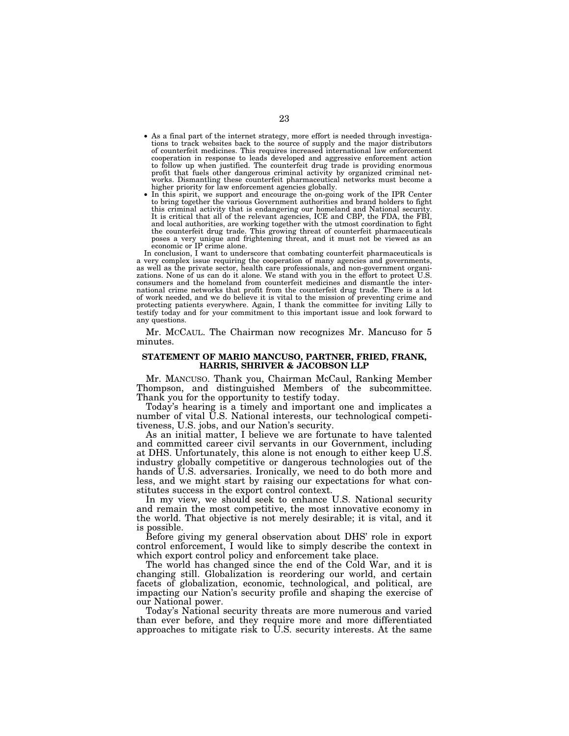- As a final part of the internet strategy, more effort is needed through investigations to track websites back to the source of supply and the major distributors of counterfeit medicines. This requires increased international law enforcement cooperation in response to leads developed and aggressive enforcement action to follow up when justified. The counterfeit drug trade is providing enormous profit that fuels other dangerous criminal activity by organized criminal networks. Dismantling these counterfeit pharmaceutical networks must become a higher priority for law enforcement agencies globally.
- In this spirit, we support and encourage the on-going work of the IPR Center to bring together the various Government authorities and brand holders to fight this criminal activity that is endangering our homeland and National security. It is critical that all of the relevant agencies, ICE and CBP, the FDA, the FBI, and local authorities, are working together with the utmost coordination to fight the counterfeit drug trade. This growing threat of counterfeit pharmaceuticals poses a very unique and frightening threat, and it must not be viewed as an economic or IP crime alone.

In conclusion, I want to underscore that combating counterfeit pharmaceuticals is a very complex issue requiring the cooperation of many agencies and governments, as well as the private sector, health care professionals, and non-government organizations. None of us can do it alone. We stand with you in the effort to protect U.S. consumers and the homeland from counterfeit medicines and dismantle the international crime networks that profit from the counterfeit drug trade. There is a lot of work needed, and we do believe it is vital to the mission of preventing crime and protecting patients everywhere. Again, I thank the committee for inviting Lilly to testify today and for your commitment to this important issue and look forward to any questions.

Mr. MCCAUL. The Chairman now recognizes Mr. Mancuso for 5 minutes.

## **STATEMENT OF MARIO MANCUSO, PARTNER, FRIED, FRANK, HARRIS, SHRIVER & JACOBSON LLP**

Mr. MANCUSO. Thank you, Chairman McCaul, Ranking Member Thompson, and distinguished Members of the subcommittee. Thank you for the opportunity to testify today.

Today's hearing is a timely and important one and implicates a number of vital U.S. National interests, our technological competitiveness, U.S. jobs, and our Nation's security.

As an initial matter, I believe we are fortunate to have talented and committed career civil servants in our Government, including at DHS. Unfortunately, this alone is not enough to either keep U.S. industry globally competitive or dangerous technologies out of the hands of U.S. adversaries. Ironically, we need to do both more and less, and we might start by raising our expectations for what constitutes success in the export control context.

In my view, we should seek to enhance U.S. National security and remain the most competitive, the most innovative economy in the world. That objective is not merely desirable; it is vital, and it is possible.

Before giving my general observation about DHS' role in export control enforcement, I would like to simply describe the context in which export control policy and enforcement take place.

The world has changed since the end of the Cold War, and it is changing still. Globalization is reordering our world, and certain facets of globalization, economic, technological, and political, are impacting our Nation's security profile and shaping the exercise of our National power.

Today's National security threats are more numerous and varied than ever before, and they require more and more differentiated approaches to mitigate risk to  $\overline{U}$ . S. security interests. At the same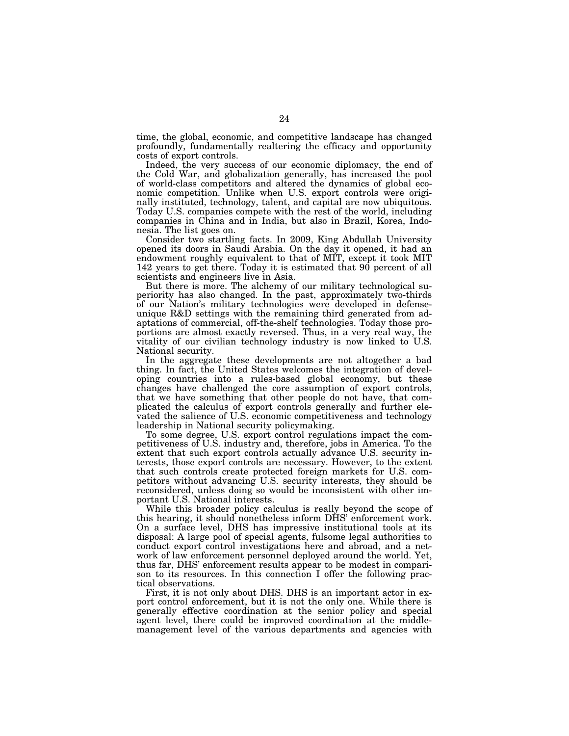time, the global, economic, and competitive landscape has changed profoundly, fundamentally realtering the efficacy and opportunity costs of export controls.

Indeed, the very success of our economic diplomacy, the end of the Cold War, and globalization generally, has increased the pool of world-class competitors and altered the dynamics of global economic competition. Unlike when U.S. export controls were originally instituted, technology, talent, and capital are now ubiquitous. Today U.S. companies compete with the rest of the world, including companies in China and in India, but also in Brazil, Korea, Indonesia. The list goes on.

Consider two startling facts. In 2009, King Abdullah University opened its doors in Saudi Arabia. On the day it opened, it had an endowment roughly equivalent to that of MIT, except it took MIT 142 years to get there. Today it is estimated that 90 percent of all scientists and engineers live in Asia.

But there is more. The alchemy of our military technological superiority has also changed. In the past, approximately two-thirds of our Nation's military technologies were developed in defenseunique R&D settings with the remaining third generated from adaptations of commercial, off-the-shelf technologies. Today those proportions are almost exactly reversed. Thus, in a very real way, the vitality of our civilian technology industry is now linked to U.S. National security.

In the aggregate these developments are not altogether a bad thing. In fact, the United States welcomes the integration of developing countries into a rules-based global economy, but these changes have challenged the core assumption of export controls, that we have something that other people do not have, that complicated the calculus of export controls generally and further elevated the salience of U.S. economic competitiveness and technology leadership in National security policymaking.

To some degree, U.S. export control regulations impact the competitiveness of U.S. industry and, therefore, jobs in America. To the extent that such export controls actually advance U.S. security interests, those export controls are necessary. However, to the extent that such controls create protected foreign markets for U.S. competitors without advancing U.S. security interests, they should be reconsidered, unless doing so would be inconsistent with other important U.S. National interests.

While this broader policy calculus is really beyond the scope of this hearing, it should nonetheless inform DHS' enforcement work. On a surface level, DHS has impressive institutional tools at its disposal: A large pool of special agents, fulsome legal authorities to conduct export control investigations here and abroad, and a network of law enforcement personnel deployed around the world. Yet, thus far, DHS' enforcement results appear to be modest in comparison to its resources. In this connection I offer the following practical observations.

First, it is not only about DHS. DHS is an important actor in export control enforcement, but it is not the only one. While there is generally effective coordination at the senior policy and special agent level, there could be improved coordination at the middlemanagement level of the various departments and agencies with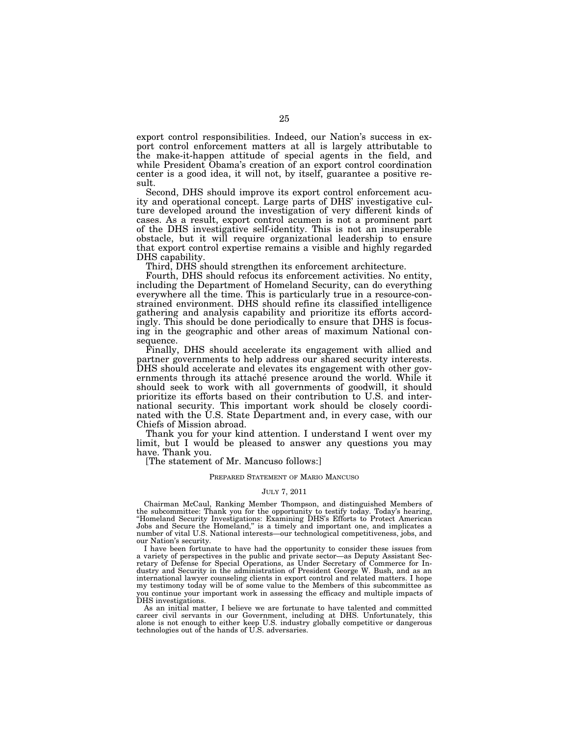export control responsibilities. Indeed, our Nation's success in export control enforcement matters at all is largely attributable to the make-it-happen attitude of special agents in the field, and while President Obama's creation of an export control coordination center is a good idea, it will not, by itself, guarantee a positive result.

Second, DHS should improve its export control enforcement acuity and operational concept. Large parts of DHS' investigative culture developed around the investigation of very different kinds of cases. As a result, export control acumen is not a prominent part of the DHS investigative self-identity. This is not an insuperable obstacle, but it will require organizational leadership to ensure that export control expertise remains a visible and highly regarded DHS capability.

Third, DHS should strengthen its enforcement architecture.

Fourth, DHS should refocus its enforcement activities. No entity, including the Department of Homeland Security, can do everything everywhere all the time. This is particularly true in a resource-constrained environment. DHS should refine its classified intelligence gathering and analysis capability and prioritize its efforts accordingly. This should be done periodically to ensure that DHS is focusing in the geographic and other areas of maximum National consequence.

Finally, DHS should accelerate its engagement with allied and partner governments to help address our shared security interests. DHS should accelerate and elevates its engagement with other governments through its attaché presence around the world. While it should seek to work with all governments of goodwill, it should prioritize its efforts based on their contribution to U.S. and international security. This important work should be closely coordinated with the U.S. State Department and, in every case, with our Chiefs of Mission abroad.

Thank you for your kind attention. I understand I went over my limit, but I would be pleased to answer any questions you may have. Thank you.

[The statement of Mr. Mancuso follows:]

## PREPARED STATEMENT OF MARIO MANCUSO

#### JULY 7, 2011

Chairman McCaul, Ranking Member Thompson, and distinguished Members of the subcommittee: Thank you for the opportunity to testify today. Today's hearing, ''Homeland Security Investigations: Examining DHS's Efforts to Protect American Jobs and Secure the Homeland,'' is a timely and important one, and implicates a number of vital U.S. National interests—our technological competitiveness, jobs, and our Nation's security.

I have been fortunate to have had the opportunity to consider these issues from a variety of perspectives in the public and private sector—as Deputy Assistant Secretary of Defense for Special Operations, as Under Secretary of Commerce for Industry and Security in the administration of President George W. Bush, and as an international lawyer counseling clients in export control and related matters. I hope my testimony today will be of some value to the Members of this subcommittee as you continue your important work in assessing the efficacy and multiple impacts of DHS investigations.

As an initial matter, I believe we are fortunate to have talented and committed career civil servants in our Government, including at DHS. Unfortunately, this alone is not enough to either keep U.S. industry globally competitive or dangerous technologies out of the hands of U.S. adversaries.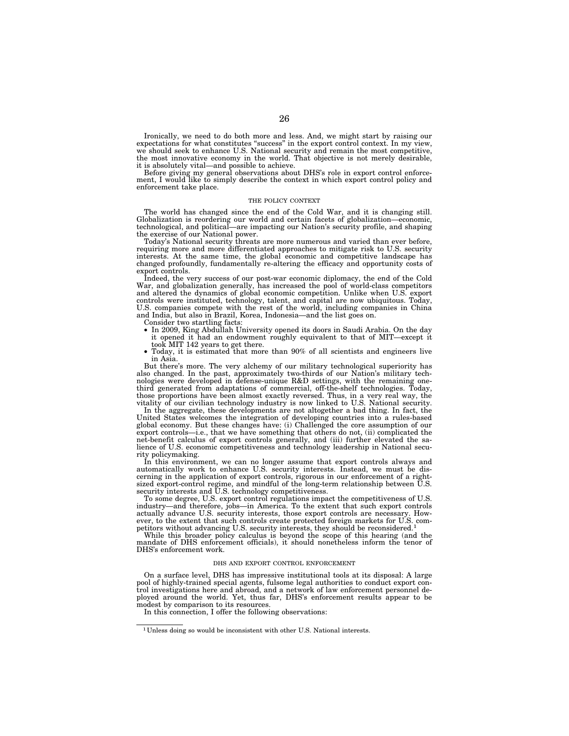Ironically, we need to do both more and less. And, we might start by raising our expectations for what constitutes ''success'' in the export control context. In my view, we should seek to enhance U.S. National security and remain the most competitive, the most innovative economy in the world. That objective is not merely desirable, it is absolutely vital—and possible to achieve.

Before giving my general observations about DHS's role in export control enforce-ment, I would like to simply describe the context in which export control policy and enforcement take place.

#### THE POLICY CONTEXT

The world has changed since the end of the Cold War, and it is changing still. Globalization is reordering our world and certain facets of globalization—economic, technological, and political—are impacting our Nation's security profile, and shaping the exercise of our National power. Today's National security threats are more numerous and varied than ever before,

requiring more and more differentiated approaches to mitigate risk to U.S. security interests. At the same time, the global economic and competitive landscape has changed profoundly, fundamentally re-altering the efficacy and opportunity costs of export controls.

Indeed, the very success of our post-war economic diplomacy, the end of the Cold War, and globalization generally, has increased the pool of world-class competitors and altered the dynamics of global economic competition. Unlike when U.S. export controls were instituted, technology, talent, and capital are now ubiquitous. Today, U.S. companies compete with the rest of the world, including companies in China and India, but also in Brazil, Korea, Indonesia—and the list goes on.

Consider two startling facts:

- In 2009, King Abdullah University opened its doors in Saudi Arabia. On the day it opened it had an endowment roughly equivalent to that of MIT—except it
- took MIT 142 years to get there.<br>• Today, it is estimated that more than 90% of all scientists and engineers live in Asia.

But there's more. The very alchemy of our military technological superiority has also changed. In the past, approximately two-thirds of our Nation's military tech-nologies were developed in defense-unique R&D settings, with the remaining onethird generated from adaptations of commercial, off-the-shelf technologies. Today, those proportions have been almost exactly reversed. Thus, in a very real way, the vitality of our civilian technology industry is now linked to U.S. National security.

In the aggregate, these developments are not altogether a bad thing. In fact, the United States welcomes the integration of developing countries into a rules-based global economy. But these changes have: (i) Challenged the export controls—i.e., that we have something that others do not, (ii) complicated the net-benefit calculus of export controls generally, and (iii) further elevated the sa-lience of U.S. economic competitiveness and technology leadership in National security policymaking.

In this environment, we can no longer assume that export controls always and automatically work to enhance U.S. security interests. Instead, we must be dis-

cerning in the application of export controls, rigorous in our enforcement of a right-<br>sized export-control regime, and mindful of the long-term relationship between U.S.<br>security interests and U.S. technology competitiven ever, to the extent that such controls create protected foreign markets for U.S. com-petitors without advancing U.S. security interests, they should be reconsidered.1

While this broader policy calculus is beyond the scope of this hearing (and the mandate of DHS enforcement officials), it should nonetheless inform the tenor of DHS's enforcement work.

#### DHS AND EXPORT CONTROL ENFORCEMENT

On a surface level, DHS has impressive institutional tools at its disposal: A large pool of highly-trained special agents, fulsome legal authorities to conduct export control investigations here and abroad, and a network of law enforcement personnel deployed around the world. Yet, thus far, DHS's enforcement results appear to be modest by comparison to its resources.

In this connection, I offer the following observations:

<sup>1</sup> Unless doing so would be inconsistent with other U.S. National interests.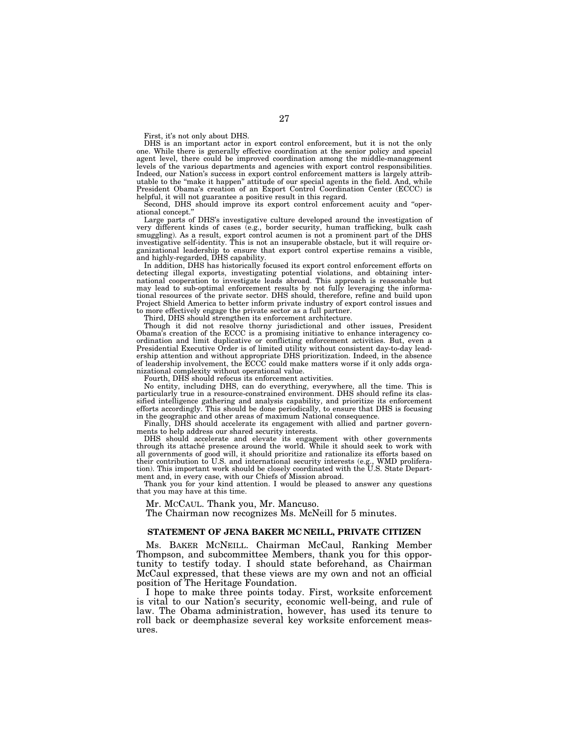First, it's not only about DHS.

DHS is an important actor in export control enforcement, but it is not the only one. While there is generally effective coordination at the senior policy and special agent level, there could be improved coordination among the middle-management levels of the various departments and agencies with export control responsibilities. Indeed, our Nation's success in export control enforcement matters is largely attributable to the ''make it happen'' attitude of our special agents in the field. And, while President Obama's creation of an Export Control Coordination Center (ECCC) is helpful, it will not guarantee a positive result in this regard.

Second, DHS should improve its export control enforcement acuity and ''operational concept.''

Large parts of DHS's investigative culture developed around the investigation of very different kinds of cases (e.g., border security, human trafficking, bulk cash smuggling). As a result, export control acumen is not a prominent part of the DHS investigative self-identity. This is not an insuperable obstacle, but it will require organizational leadership to ensure that export control expertise remains a visible, and highly-regarded, DHS capability.

In addition, DHS has historically focused its export control enforcement efforts on detecting illegal exports, investigating potential violations, and obtaining international cooperation to investigate leads abroad. This approach is reasonable but may lead to sub-optimal enforcement results by not fully leveraging the informational resources of the private sector. DHS should, therefore, refine and build upon Project Shield America to better inform private industry of export control issues and to more effectively engage the private sector as a full partner.

Third, DHS should strengthen its enforcement architecture.

Though it did not resolve thorny jurisdictional and other issues, President Obama's creation of the ECCC is a promising initiative to enhance interagency coordination and limit duplicative or conflicting enforcement activities. But, even a Presidential Executive Order is of limited utility without consistent day-to-day leadership attention and without appropriate DHS prioritization. Indeed, in the absence of leadership involvement, the ECCC could make matters worse if it only adds organizational complexity without operational value.

Fourth, DHS should refocus its enforcement activities.

No entity, including DHS, can do everything, everywhere, all the time. This is particularly true in a resource-constrained environment. DHS should refine its classified intelligence gathering and analysis capability, and prioritize its enforcement efforts accordingly. This should be done periodically, to ensure that DHS is focusing in the geographic and other areas of maximum National consequence.

Finally, DHS should accelerate its engagement with allied and partner governments to help address our shared security interests.

DHS should accelerate and elevate its engagement with other governments through its attache<sup>é</sup> presence around the world. While it should seek to work with all governments of good will, it should prioritize and rationalize its efforts based on their contribution to U.S. and international security interests (e.g., WMD proliferation). This important work should be closely coordinated with the U.S. State Department and, in every case, with our Chiefs of Mission abroad.

Thank you for your kind attention. I would be pleased to answer any questions that you may have at this time.

Mr. MCCAUL. Thank you, Mr. Mancuso.

The Chairman now recognizes Ms. McNeill for 5 minutes.

## **STATEMENT OF JENA BAKER MC NEILL, PRIVATE CITIZEN**

Ms. BAKER MCNEILL. Chairman McCaul, Ranking Member Thompson, and subcommittee Members, thank you for this opportunity to testify today. I should state beforehand, as Chairman McCaul expressed, that these views are my own and not an official position of The Heritage Foundation.

I hope to make three points today. First, worksite enforcement is vital to our Nation's security, economic well-being, and rule of law. The Obama administration, however, has used its tenure to roll back or deemphasize several key worksite enforcement measures.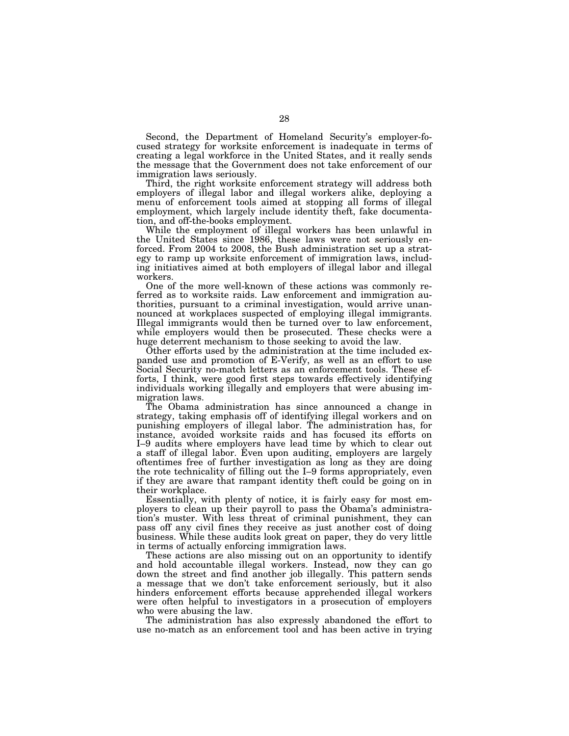Second, the Department of Homeland Security's employer-focused strategy for worksite enforcement is inadequate in terms of creating a legal workforce in the United States, and it really sends the message that the Government does not take enforcement of our immigration laws seriously.

Third, the right worksite enforcement strategy will address both employers of illegal labor and illegal workers alike, deploying a menu of enforcement tools aimed at stopping all forms of illegal employment, which largely include identity theft, fake documentation, and off-the-books employment.

While the employment of illegal workers has been unlawful in the United States since 1986, these laws were not seriously enforced. From 2004 to 2008, the Bush administration set up a strategy to ramp up worksite enforcement of immigration laws, including initiatives aimed at both employers of illegal labor and illegal workers.

One of the more well-known of these actions was commonly referred as to worksite raids. Law enforcement and immigration authorities, pursuant to a criminal investigation, would arrive unannounced at workplaces suspected of employing illegal immigrants. Illegal immigrants would then be turned over to law enforcement, while employers would then be prosecuted. These checks were a huge deterrent mechanism to those seeking to avoid the law.

Other efforts used by the administration at the time included expanded use and promotion of E-Verify, as well as an effort to use Social Security no-match letters as an enforcement tools. These efforts, I think, were good first steps towards effectively identifying individuals working illegally and employers that were abusing immigration laws.

The Obama administration has since announced a change in strategy, taking emphasis off of identifying illegal workers and on punishing employers of illegal labor. The administration has, for instance, avoided worksite raids and has focused its efforts on I–9 audits where employers have lead time by which to clear out a staff of illegal labor. Even upon auditing, employers are largely oftentimes free of further investigation as long as they are doing the rote technicality of filling out the I–9 forms appropriately, even if they are aware that rampant identity theft could be going on in their workplace.

Essentially, with plenty of notice, it is fairly easy for most employers to clean up their payroll to pass the Obama's administration's muster. With less threat of criminal punishment, they can pass off any civil fines they receive as just another cost of doing business. While these audits look great on paper, they do very little in terms of actually enforcing immigration laws.

These actions are also missing out on an opportunity to identify and hold accountable illegal workers. Instead, now they can go down the street and find another job illegally. This pattern sends a message that we don't take enforcement seriously, but it also hinders enforcement efforts because apprehended illegal workers were often helpful to investigators in a prosecution of employers who were abusing the law.

The administration has also expressly abandoned the effort to use no-match as an enforcement tool and has been active in trying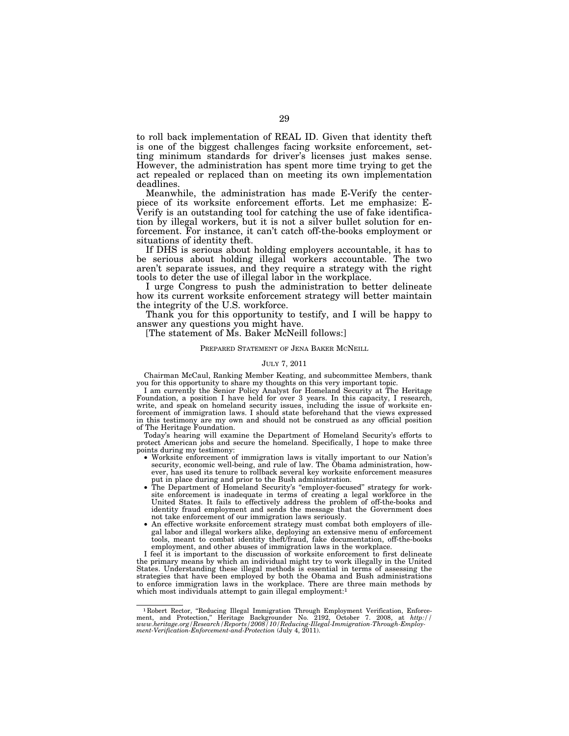to roll back implementation of REAL ID. Given that identity theft is one of the biggest challenges facing worksite enforcement, setting minimum standards for driver's licenses just makes sense. However, the administration has spent more time trying to get the act repealed or replaced than on meeting its own implementation deadlines.

Meanwhile, the administration has made E-Verify the centerpiece of its worksite enforcement efforts. Let me emphasize: E-Verify is an outstanding tool for catching the use of fake identification by illegal workers, but it is not a silver bullet solution for enforcement. For instance, it can't catch off-the-books employment or situations of identity theft.

If DHS is serious about holding employers accountable, it has to be serious about holding illegal workers accountable. The two aren't separate issues, and they require a strategy with the right tools to deter the use of illegal labor in the workplace.

I urge Congress to push the administration to better delineate how its current worksite enforcement strategy will better maintain the integrity of the U.S. workforce.

Thank you for this opportunity to testify, and I will be happy to answer any questions you might have.

[The statement of Ms. Baker McNeill follows:]

### PREPARED STATEMENT OF JENA BAKER MCNEILL

### JULY 7, 2011

Chairman McCaul, Ranking Member Keating, and subcommittee Members, thank you for this opportunity to share my thoughts on this very important topic.

I am currently the Senior Policy Analyst for Homeland Security at The Heritage Foundation, a position I have held for over 3 years. In this capacity, I research, write, and speak on homeland security issues, including the issue of worksite enforcement of immigration laws. I should state beforehand that the views expressed in this testimony are my own and should not be construed as any official position of The Heritage Foundation.

Today's hearing will examine the Department of Homeland Security's efforts to protect American jobs and secure the homeland. Specifically, I hope to make three points during my testimony:

- Worksite enforcement of immigration laws is vitally important to our Nation's security, economic well-being, and rule of law. The Obama administration, however, has used its tenure to rollback several key worksite enforcement measures put in place during and prior to the Bush administration.
- The Department of Homeland Security's ''employer-focused'' strategy for worksite enforcement is inadequate in terms of creating a legal workforce in the United States. It fails to effectively address the problem of off-the-books and identity fraud employment and sends the message that the Government does not take enforcement of our immigration laws seriously.
- An effective worksite enforcement strategy must combat both employers of illegal labor and illegal workers alike, deploying an extensive menu of enforcement tools, meant to combat identity theft/fraud, fake documentation, off-the-books employment, and other abuses of immigration laws in the workplace.

I feel it is important to the discussion of worksite enforcement to first delineate the primary means by which an individual might try to work illegally in the United States. Understanding these illegal methods is essential in terms of assessing the strategies that have been employed by both the Obama and Bush administrations to enforce immigration laws in the workplace. There are three main methods by which most individuals attempt to gain illegal employment:<sup>1</sup>

<sup>&</sup>lt;sup>1</sup> Robert Rector, "Reducing Illegal Immigration Through Employment Verification, Enforcement, and Protection," Heritage Backgrounder No. 2192, October 7. 2008, at http://www.heritage.org/Research/Reports/2008/10/Reducing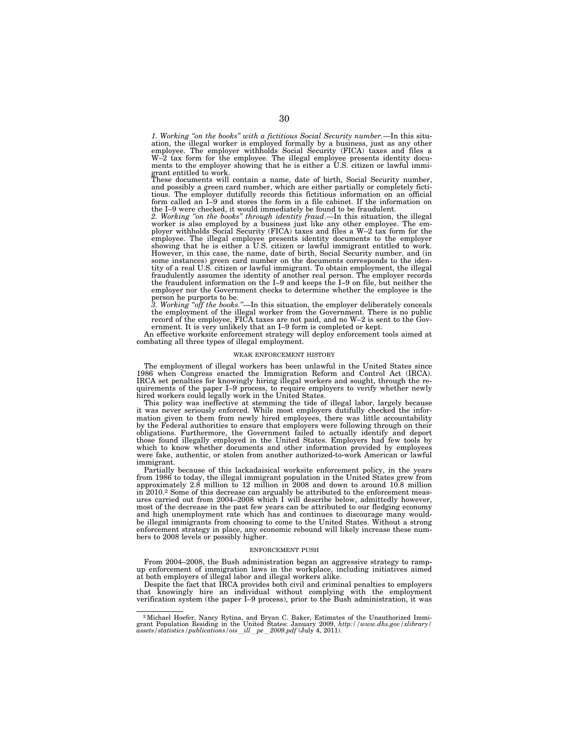*1. Working ''on the books'' with a fictitious Social Security number.*—In this situation, the illegal worker is employed formally by a business, just as any other employee. The employer withholds Social Security (FICA) taxes and files a W–2 tax form for the employee. The illegal employee presents identity documents to the employer showing that he is either a U.S. citizen or lawful immi-

grant entitled to work. These documents will contain a name, date of birth, Social Security number, and possibly a green card number, which are either partially or completely fictitious. The employer dutifully records this fictitious information on an official form called an I–9 and stores the form in a file cabinet. If the information on the I–9 were checked, it would immediately be found to be fraudulent.

*2. Working ''on the books'' through identity fraud*.—In this situation, the illegal worker is also employed by a business just like any other employee. The employer withholds Social Security (FICA) taxes and files a W–2 tax form for the employee. The illegal employee presents identity documents to the employer showing that he is either a U.S. citizen or lawful immigrant entitled to work.<br>However, in this case, the name, date of birth, Social Security numb some instances) green card number on the documents corresponds to the iden-tity of a real U.S. citizen or lawful immigrant. To obtain employment, the illegal fraudulently assumes the identity of another real person. The employer records the fraudulent information on the I–9 and keeps the I–9 on file, but neither the employer nor the Government checks to determine whether the employee is the person he purports to be.

*3. Working ''off the books.''*—In this situation, the employer deliberately conceals the employment of the illegal worker from the Government. There is no public record of the employee, FICA taxes are not paid, and no W–2 is sent to the Government. It is very unlikely that an I–9 form is completed or kept.

An effective worksite enforcement strategy will deploy enforcement tools aimed at combating all three types of illegal employment.

#### WEAK ENFORCEMENT HISTORY

The employment of illegal workers has been unlawful in the United States since 1986 when Congress enacted the Immigration Reform and Control Act (IRCA). IRCA set penalties for knowingly hiring illegal workers and sought, through the requirements of the paper I–9 process, to require employers to verify whether newly hired workers could legally work in the United States.

This policy was ineffective at stemming the tide of illegal labor, largely because it was never seriously enforced. While most employers dutifully checked the information given to them from newly hired employees, there was little accountability by the Federal authorities to ensure that employers were following through on their obligations. Furthermore, the Government failed to actually identify and deport those found illegally employed in the United States. Employers had few tools by which to know whether documents and other information provided by employees were fake, authentic, or stolen from another authorized-to-work American or lawful immigrant.

Partially because of this lackadaisical worksite enforcement policy, in the years from 1986 to today, the illegal immigrant population in the United States grew from approximately 2.8 million to 12 million in 2008 and down to around 10.8 million in 2010.2 Some of this decrease can arguably be attributed to the enforcement measures carried out from 2004–2008 which I will describe below, admittedly however, most of the decrease in the past few years can be attributed to our fledging economy and high unemployment rate which has and continues to discourage many wouldbe illegal immigrants from choosing to come to the United States. Without a strong enforcement strategy in place, any economic rebound will likely increase these numbers to 2008 levels or possibly higher.

## ENFORCEMENT PUSH

From 2004–2008, the Bush administration began an aggressive strategy to rampup enforcement of immigration laws in the workplace, including initiatives aimed at both employers of illegal labor and illegal workers alike.

Despite the fact that IRCA provides both civil and criminal penalties to employers that knowingly hire an individual without complying with the employment verification system (the paper I–9 process), prior to the Bush administration, it was

<sup>2</sup>Michael Hoefer, Nancy Rytina, and Bryan C. Baker, Estimates of the Unauthorized Immigrant Population Residing in the United States: January 2009, *http://www.dhs.gov/xlibrary/ assets/statistics/publications/ois*l*ill*l*pe*l*2009.pdf* (July 4, 2011).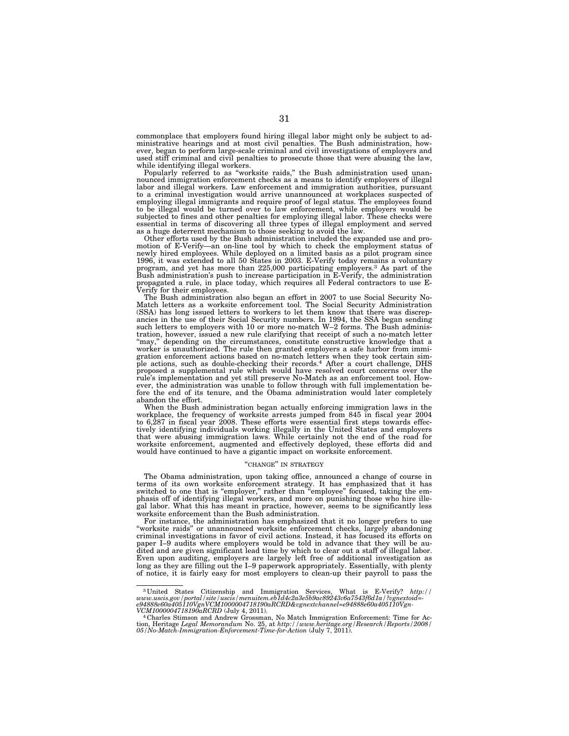commonplace that employers found hiring illegal labor might only be subject to administrative hearings and at most civil penalties. The Bush administration, how-ever, began to perform large-scale criminal and civil investigations of employers and used stiff criminal and civil penalties to prosecute those that were abusing the law, while identifying illegal workers.

Popularly referred to as ''worksite raids,'' the Bush administration used unannounced immigration enforcement checks as a means to identify employers of illegal labor and illegal workers. Law enforcement and immigration authorities, pursuant to a criminal investigation would arrive unannounced at workplaces suspected of employing illegal immigrants and require proof of legal status. The employees found to be illegal would be turned over to law enforcement, while employers would be subjected to fines and other penalties for employing illegal labor. These checks were essential in terms of discovering all three types of illegal employment and served as a huge deterrent mechanism to those seeking to avoid the law.

Other efforts used by the Bush administration included the expanded use and promotion of E-Verify—an on-line tool by which to check the employment status of newly hired employees. While deployed on a limited basis as a pilot program since 1996, it was extended to all 50 States in 2003. E-Verify today remains a voluntary program, and yet has more than 225,000 participating employers.3 As part of the Bush administration's push to increase participation in E-Verify, the administration propagated a rule, in place today, which requires all Federal contractors to use E-Verify for their employees.

The Bush administration also began an effort in 2007 to use Social Security No-Match letters as a worksite enforcement tool. The Social Security Administration (SSA) has long issued letters to workers to let them know that there was discrepancies in the use of their Social Security numbers. In 1994, the SSA began sending such letters to employers with 10 or more no-match W-2 forms. The Bush administration, however, issued a new rule clarifying that receipt of such a no-match letter ''may,'' depending on the circumstances, constitute constructive knowledge that a worker is unauthorized. The rule then granted employers a safe harbor from immigration enforcement actions based on no-match letters when they took certain simple actions, such as double-checking their records.4 After a court challenge, DHS proposed a supplemental rule which would have resolved court concerns over the rule's implementation and yet still preserve No-Match as an enforcement tool. However, the administration was unable to follow through with full implementation before the end of its tenure, and the Obama administration would later completely abandon the effort.

When the Bush administration began actually enforcing immigration laws in the workplace, the frequency of worksite arrests jumped from 845 in fiscal year 2004 to 6,287 in fiscal year 2008. These efforts were essential first steps towards effectively identifying individuals working illegally in the United States and employers that were abusing immigration laws. While certainly not the end of the road for worksite enforcement, augmented and effectively deployed, these efforts did and would have continued to have a gigantic impact on worksite enforcement.

## "CHANGE" IN STRATEGY

The Obama administration, upon taking office, announced a change of course in terms of its own worksite enforcement strategy. It has emphasized that it has switched to one that is "employer," rather than "employee" focused, taking the emphasis off of identifying illegal workers, and more on punishing those who hire illegal labor. What this has meant in practice, however, seems to be significantly less worksite enforcement than the Bush administration.

For instance, the administration has emphasized that it no longer prefers to use ''worksite raids'' or unannounced worksite enforcement checks, largely abandoning criminal investigations in favor of civil actions. Instead, it has focused its efforts on paper I–9 audits where employers would be told in advance that they will be audited and are given significant lead time by which to clear out a staff of illegal labor. Even upon auditing, employers are largely left free of additional investigation as long as they are filling out the I–9 paperwork appropriately. Essentially, with plenty of notice, it is fairly easy for most employers to clean-up their payroll to pass the

<sup>3</sup> United States Citizenship and Immigration Services, What is E-Verify? *http:// www.uscis.gov/portal/site/uscis/menuitem.eb1d4c2a3e5b9ac89243c6a7543f6d1a/?vgnextoid=*  e94888e60a405110VgnVCM1000004718190aRCRD&vgnextchannel=e94888e60a405110Vgn-<br>VCM1000004718190aRCRD (July 4, 2011).<br><sup>+ 4</sup>Charles Stimson and Andrew Grossman, No Match Immigration Enforcement: Time for Ac-

tion, Heritage *Legal Memorandum* No. 25, at *http://www.heritage.org/Research/Reports/2008/ 05/No-Match-Immigration-Enforcement-Time-for-Action* (July 7, 2011).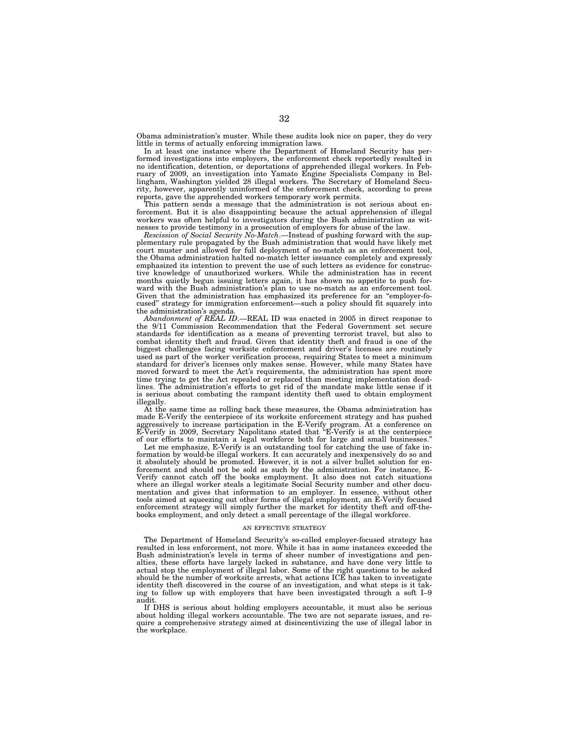Obama administration's muster. While these audits look nice on paper, they do very little in terms of actually enforcing immigration laws.

In at least one instance where the Department of Homeland Security has performed investigations into employers, the enforcement check reportedly resulted in no identification, detention, or deportations of apprehended illegal workers. In February of 2009, an investigation into Yamato Engine Specialists Company in Bellingham, Washington yielded 28 illegal workers. The Secretary of Homeland Security, however, apparently uninformed of the enforcement check, according to press reports, gave the apprehended workers temporary work permits.

This pattern sends a message that the administration is not serious about enforcement. But it is also disappointing because the actual apprehension of illegal workers was often helpful to investigators during the Bush administration as witnesses to provide testimony in a prosecution of employers for abuse of the law.

*Rescission of Social Security No-Match*.—Instead of pushing forward with the supplementary rule propagated by the Bush administration that would have likely met court muster and allowed for full deployment of no-match as an enforcement tool, the Obama administration halted no-match letter issuance completely and expressly emphasized its intention to prevent the use of such letters as evidence for constructive knowledge of unauthorized workers. While the administration has in recent months quietly begun issuing letters again, it has shown no appetite to push forward with the Bush administration's plan to use no-match as an enforcement tool. Given that the administration has emphasized its preference for an ''employer-focused'' strategy for immigration enforcement—such a policy should fit squarely into the administration's agenda.

*Abandonment of REAL ID*.—REAL ID was enacted in 2005 in direct response to the 9/11 Commission Recommendation that the Federal Government set secure standards for identification as a means of preventing terrorist travel, but also to combat identity theft and fraud. Given that identity theft and fraud is one of the biggest challenges facing worksite enforcement and driver's licenses are routinely used as part of the worker verification process, requiring States to meet a minimum standard for driver's licenses only makes sense. However, while many States have moved forward to meet the Act's requirements, the administration has spent more time trying to get the Act repealed or replaced than meeting implementation deadlines. The administration's efforts to get rid of the mandate make little sense if it is serious about combating the rampant identity theft used to obtain employment illegally.

At the same time as rolling back these measures, the Obama administration has made E-Verify the centerpiece of its worksite enforcement strategy and has pushed aggressively to increase participation in the E-Verify program. At a conference on E-Verify in 2009, Secretary Napolitano stated that ''E-Verify is at the centerpiece of our efforts to maintain a legal workforce both for large and small businesses.''

Let me emphasize, E-Verify is an outstanding tool for catching the use of fake information by would-be illegal workers. It can accurately and inexpensively do so and it absolutely should be promoted. However, it is not a silver bullet solution for enforcement and should not be sold as such by the administration. For instance, E-Verify cannot catch off the books employment. It also does not catch situations where an illegal worker steals a legitimate Social Security number and other documentation and gives that information to an employer. In essence, without other tools aimed at squeezing out other forms of illegal employment, an E-Verify focused enforcement strategy will simply further the market for identity theft and off-thebooks employment, and only detect a small percentage of the illegal workforce.

### AN EFFECTIVE STRATEGY

The Department of Homeland Security's so-called employer-focused strategy has resulted in less enforcement, not more. While it has in some instances exceeded the Bush administration's levels in terms of sheer number of investigations and penalties, these efforts have largely lacked in substance, and have done very little to actual stop the employment of illegal labor. Some of the right questions to be asked should be the number of worksite arrests, what actions ICE has taken to investigate identity theft discovered in the course of an investigation, and what steps is it taking to follow up with employers that have been investigated through a soft I–9 audit.

If DHS is serious about holding employers accountable, it must also be serious about holding illegal workers accountable. The two are not separate issues, and require a comprehensive strategy aimed at disincentivizing the use of illegal labor in the workplace.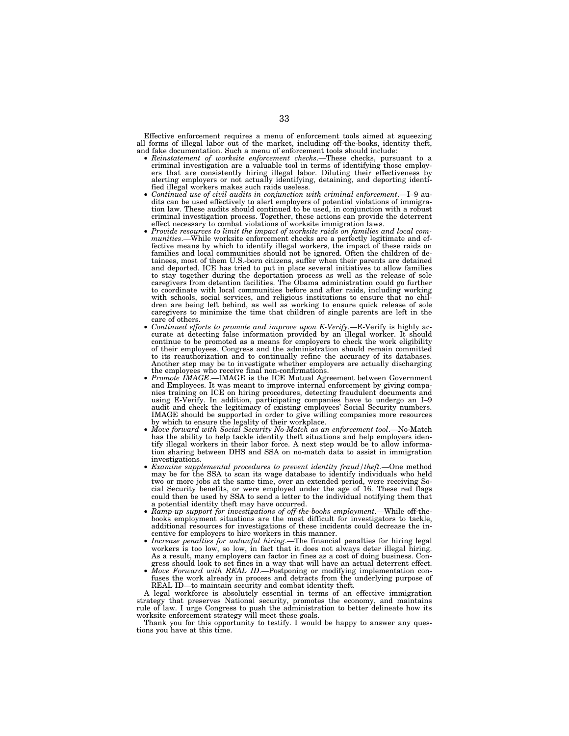Effective enforcement requires a menu of enforcement tools aimed at squeezing all forms of illegal labor out of the market, including off-the-books, identity theft, and fake documentation. Such a menu of enforcement tools should include:

- Reinstatement of worksite enforcement checks.—These checks, pursuant to a criminal investigation are a valuable tool in terms of identifying those employers that are consistently hiring illegal labor. Diluting their effectiveness by alerting employers or not actually identifying, detaining, and deporting identi-<br>fied illegal workers makes such raids useless.
- fied in the value of civil audits in conjunction with criminal enforcement.—I–9 audits can be used effectively to alert employers of potential violations of immigration law. These audits should continued to be used, in conjunction with a robust criminal investigation process. Together, these actions can provide the deterrent effect necessary to combat violations of worksite immigration laws.
- Provide resources to limit the impact of worksite raids on families and local com*munities*.—While worksite enforcement checks are a perfectly legitimate and effective means by which to identify illegal workers, the impact of these raids on families and local communities should not be ignored. Often the children of detainees, most of them U.S.-born citizens, suffer when their parents are detained and deported. ICE has tried to put in place several initiatives to allow families to stay together during the deportation process as well as the release of sole caregivers from detention facilities. The Obama administration could go further to coordinate with local communities before and after raids, including working with schools, social services, and religious institutions to ensure that no children are being left behind, as well as working to ensure quick release of sole caregivers to minimize the time that children of single parents are left in the
- care of others. *Continued efforts to promote and improve upon E-Verify*.—E-Verify is highly ac-curate at detecting false information provided by an illegal worker. It should continue to be promoted as a means for employers to check the work eligibility of their employees. Congress and the administration should remain committed to its reauthorization and to continually refine the accuracy of its databases. Another step may be to investigate whether employers are actually discharging
- *Promote IMAGE*.—IMAGE is the ICE Mutual Agreement between Government and Employees. It was meant to improve internal enforcement by giving companies training on ICE on hiring procedures, detecting fraudulent documents and using E-Verify. In addition, participating companies have to undergo an I–9 audit and check the legitimacy of existing employees' Social Security numbers. IMAGE should be supported in order to give willing companies more resources
- Move forward with Social Security No-Match as an enforcement tool.—No-Match has the ability to help tackle identity theft situations and help employers identify illegal workers in their labor force. A next step would be to allow information sharing between DHS and SSA on no-match data to assist in immigration investigations.
- *Examine supplemental procedures to prevent identity fraud/theft*.—One method may be for the SSA to scan its wage database to identify individuals who held two or more jobs at the same time, over an extended period, were receiving Social Security benefits, or were employed under the age of 16. These red flags could then be used by SSA to send a letter to the individual notifying them that a potential identity theft may have occurred.
- *Ramp-up support for investigations of off-the-books employment*.—While off-thebooks employment situations are the most difficult for investigators to tackle, additional resources for investigations of these incidents could decrease the incentive for employers to hire workers in this manner.
- *Increase penalties for unlawful hiring*.—The financial penalties for hiring legal workers is too low, so low, in fact that it does not always deter illegal hiring. As a result, many employers can factor in fines as a cost of doing business. Congress should look to set fines in a way that will have an actual deterrent effect.
- *Move Forward with REAL ID*.—Postponing or modifying implementation confuses the work already in process and detracts from the underlying purpose of REAL ID—to maintain security and combat identity theft.

A legal workforce is absolutely essential in terms of an effective immigration strategy that preserves National security, promotes the economy, and maintains rule of law. I urge Congress to push the administration to better delineate how its worksite enforcement strategy will meet these goals.

Thank you for this opportunity to testify. I would be happy to answer any questions you have at this time.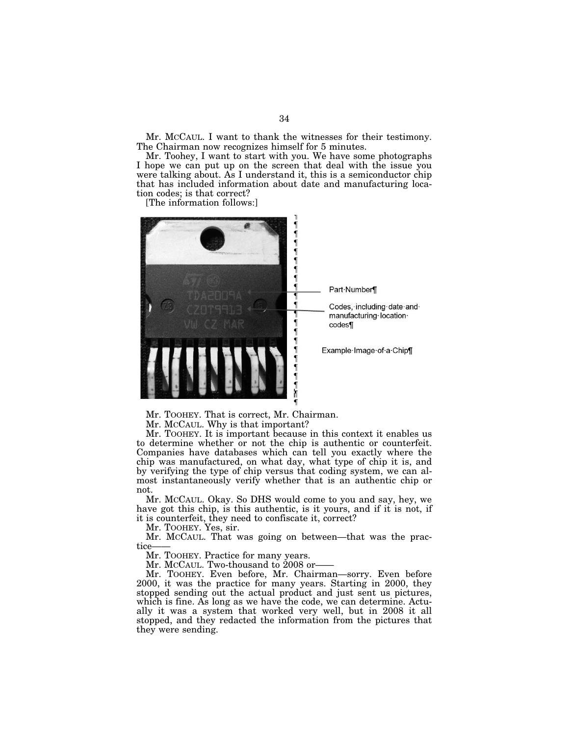Mr. MCCAUL. I want to thank the witnesses for their testimony. The Chairman now recognizes himself for 5 minutes.

Mr. Toohey, I want to start with you. We have some photographs I hope we can put up on the screen that deal with the issue you were talking about. As I understand it, this is a semiconductor chip that has included information about date and manufacturing location codes; is that correct?

[The information follows:]



Mr. TOOHEY. That is correct, Mr. Chairman.

Mr. MCCAUL. Why is that important?

Mr. TOOHEY. It is important because in this context it enables us to determine whether or not the chip is authentic or counterfeit. Companies have databases which can tell you exactly where the chip was manufactured, on what day, what type of chip it is, and by verifying the type of chip versus that coding system, we can almost instantaneously verify whether that is an authentic chip or not.

Mr. MCCAUL. Okay. So DHS would come to you and say, hey, we have got this chip, is this authentic, is it yours, and if it is not, if it is counterfeit, they need to confiscate it, correct?

Mr. TOOHEY. Yes, sir.

Mr. MCCAUL. That was going on between—that was the practice

Mr. TOOHEY. Practice for many years.

Mr. McCAUL. Two-thousand to 2008 or-

Mr. TOOHEY. Even before, Mr. Chairman—sorry. Even before 2000, it was the practice for many years. Starting in 2000, they stopped sending out the actual product and just sent us pictures, which is fine. As long as we have the code, we can determine. Actually it was a system that worked very well, but in 2008 it all stopped, and they redacted the information from the pictures that they were sending.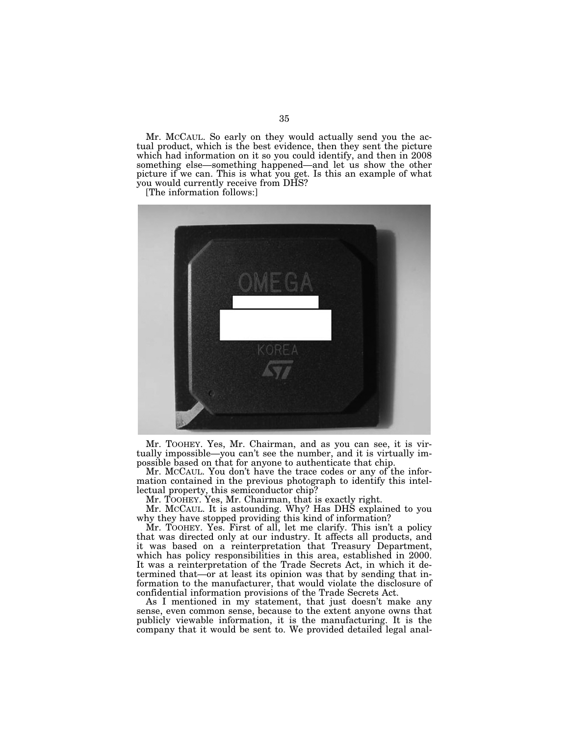Mr. MCCAUL. So early on they would actually send you the actual product, which is the best evidence, then they sent the picture which had information on it so you could identify, and then in 2008 something else—something happened—and let us show the other picture if we can. This is what you get. Is this an example of what you would currently receive from DHS?

[The information follows:]



Mr. TOOHEY. Yes, Mr. Chairman, and as you can see, it is virtually impossible—you can't see the number, and it is virtually impossible based on that for anyone to authenticate that chip.

Mr. MCCAUL. You don't have the trace codes or any of the information contained in the previous photograph to identify this intellectual property, this semiconductor chip?

Mr. TOOHEY. Yes, Mr. Chairman, that is exactly right.

Mr. MCCAUL. It is astounding. Why? Has DHS explained to you why they have stopped providing this kind of information?

Mr. TOOHEY. Yes. First of all, let me clarify. This isn't a policy that was directed only at our industry. It affects all products, and it was based on a reinterpretation that Treasury Department, which has policy responsibilities in this area, established in 2000. It was a reinterpretation of the Trade Secrets Act, in which it determined that—or at least its opinion was that by sending that information to the manufacturer, that would violate the disclosure of confidential information provisions of the Trade Secrets Act.

As I mentioned in my statement, that just doesn't make any sense, even common sense, because to the extent anyone owns that publicly viewable information, it is the manufacturing. It is the company that it would be sent to. We provided detailed legal anal-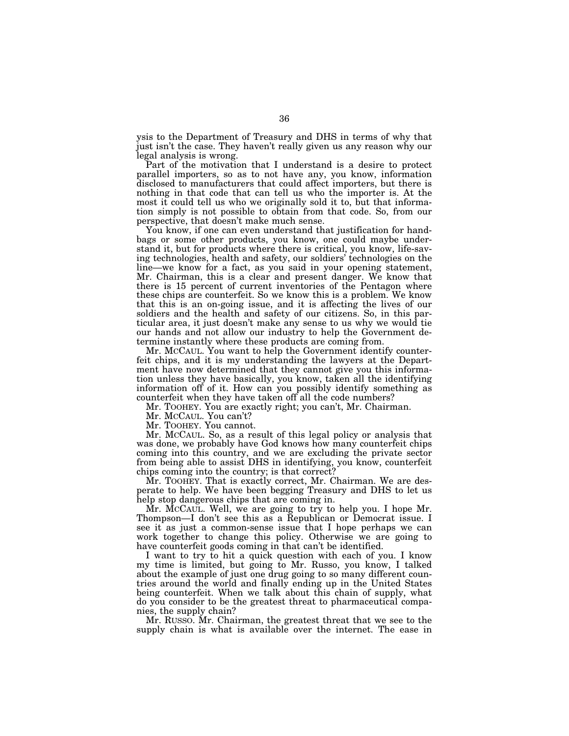ysis to the Department of Treasury and DHS in terms of why that just isn't the case. They haven't really given us any reason why our legal analysis is wrong.

Part of the motivation that I understand is a desire to protect parallel importers, so as to not have any, you know, information disclosed to manufacturers that could affect importers, but there is nothing in that code that can tell us who the importer is. At the most it could tell us who we originally sold it to, but that information simply is not possible to obtain from that code. So, from our perspective, that doesn't make much sense.

You know, if one can even understand that justification for handbags or some other products, you know, one could maybe understand it, but for products where there is critical, you know, life-saving technologies, health and safety, our soldiers' technologies on the line—we know for a fact, as you said in your opening statement, Mr. Chairman, this is a clear and present danger. We know that there is 15 percent of current inventories of the Pentagon where these chips are counterfeit. So we know this is a problem. We know that this is an on-going issue, and it is affecting the lives of our soldiers and the health and safety of our citizens. So, in this particular area, it just doesn't make any sense to us why we would tie our hands and not allow our industry to help the Government determine instantly where these products are coming from.

Mr. MCCAUL. You want to help the Government identify counterfeit chips, and it is my understanding the lawyers at the Department have now determined that they cannot give you this information unless they have basically, you know, taken all the identifying information off of it. How can you possibly identify something as counterfeit when they have taken off all the code numbers?

Mr. TOOHEY. You are exactly right; you can't, Mr. Chairman.

Mr. MCCAUL. You can't?

Mr. TOOHEY. You cannot.

Mr. MCCAUL. So, as a result of this legal policy or analysis that was done, we probably have God knows how many counterfeit chips coming into this country, and we are excluding the private sector from being able to assist DHS in identifying, you know, counterfeit chips coming into the country; is that correct?

Mr. TOOHEY. That is exactly correct, Mr. Chairman. We are desperate to help. We have been begging Treasury and DHS to let us help stop dangerous chips that are coming in.

Mr. MCCAUL. Well, we are going to try to help you. I hope Mr. Thompson—I don't see this as a Republican or Democrat issue. I see it as just a common-sense issue that I hope perhaps we can work together to change this policy. Otherwise we are going to have counterfeit goods coming in that can't be identified.

I want to try to hit a quick question with each of you. I know my time is limited, but going to Mr. Russo, you know, I talked about the example of just one drug going to so many different countries around the world and finally ending up in the United States being counterfeit. When we talk about this chain of supply, what do you consider to be the greatest threat to pharmaceutical companies, the supply chain?

Mr. RUSSO. Mr. Chairman, the greatest threat that we see to the supply chain is what is available over the internet. The ease in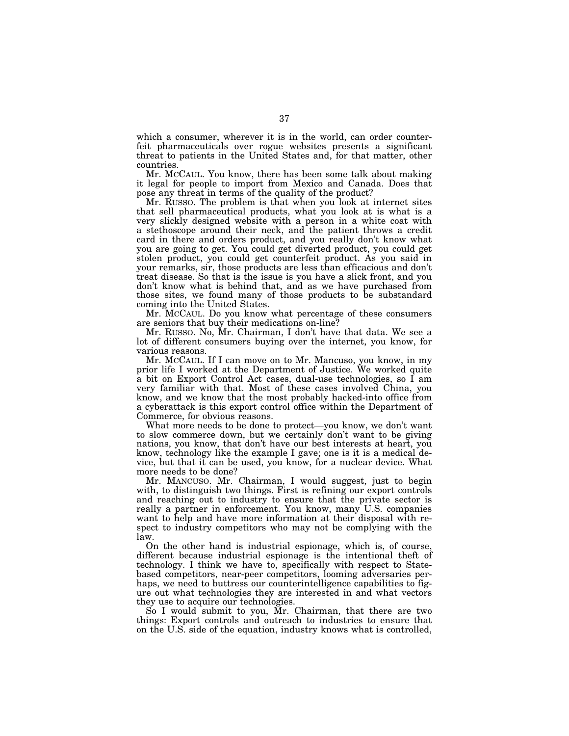which a consumer, wherever it is in the world, can order counterfeit pharmaceuticals over rogue websites presents a significant threat to patients in the United States and, for that matter, other countries.

Mr. MCCAUL. You know, there has been some talk about making it legal for people to import from Mexico and Canada. Does that pose any threat in terms of the quality of the product?

Mr. RUSSO. The problem is that when you look at internet sites that sell pharmaceutical products, what you look at is what is a very slickly designed website with a person in a white coat with a stethoscope around their neck, and the patient throws a credit card in there and orders product, and you really don't know what you are going to get. You could get diverted product, you could get stolen product, you could get counterfeit product. As you said in your remarks, sir, those products are less than efficacious and don't treat disease. So that is the issue is you have a slick front, and you don't know what is behind that, and as we have purchased from those sites, we found many of those products to be substandard coming into the United States.

Mr. MCCAUL. Do you know what percentage of these consumers are seniors that buy their medications on-line?

Mr. RUSSO. No, Mr. Chairman, I don't have that data. We see a lot of different consumers buying over the internet, you know, for various reasons.

Mr. MCCAUL. If I can move on to Mr. Mancuso, you know, in my prior life I worked at the Department of Justice. We worked quite a bit on Export Control Act cases, dual-use technologies, so I am very familiar with that. Most of these cases involved China, you know, and we know that the most probably hacked-into office from a cyberattack is this export control office within the Department of Commerce, for obvious reasons.

What more needs to be done to protect—you know, we don't want to slow commerce down, but we certainly don't want to be giving nations, you know, that don't have our best interests at heart, you know, technology like the example I gave; one is it is a medical device, but that it can be used, you know, for a nuclear device. What more needs to be done?

Mr. MANCUSO. Mr. Chairman, I would suggest, just to begin with, to distinguish two things. First is refining our export controls and reaching out to industry to ensure that the private sector is really a partner in enforcement. You know, many U.S. companies want to help and have more information at their disposal with respect to industry competitors who may not be complying with the law.

On the other hand is industrial espionage, which is, of course, different because industrial espionage is the intentional theft of technology. I think we have to, specifically with respect to Statebased competitors, near-peer competitors, looming adversaries perhaps, we need to buttress our counterintelligence capabilities to figure out what technologies they are interested in and what vectors they use to acquire our technologies.

So I would submit to you, Mr. Chairman, that there are two things: Export controls and outreach to industries to ensure that on the U.S. side of the equation, industry knows what is controlled,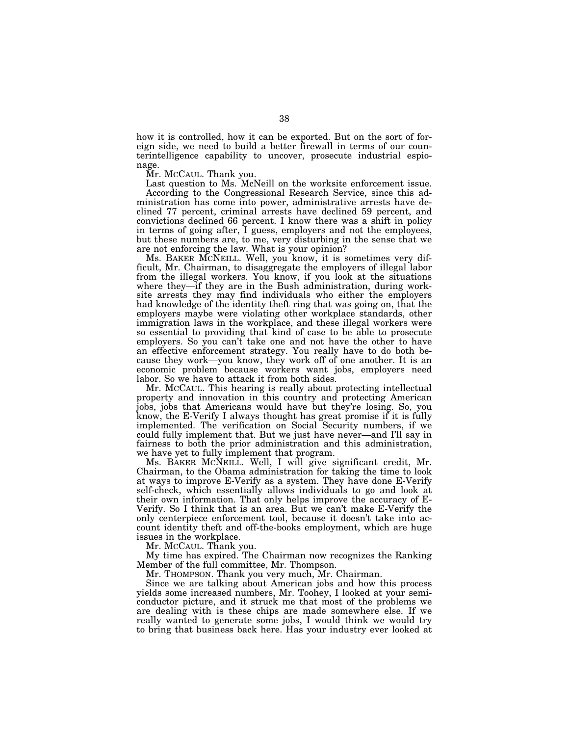how it is controlled, how it can be exported. But on the sort of foreign side, we need to build a better firewall in terms of our counterintelligence capability to uncover, prosecute industrial espionage.

Mr. MCCAUL. Thank you.

Last question to Ms. McNeill on the worksite enforcement issue. According to the Congressional Research Service, since this administration has come into power, administrative arrests have declined 77 percent, criminal arrests have declined 59 percent, and convictions declined 66 percent. I know there was a shift in policy in terms of going after, I guess, employers and not the employees, but these numbers are, to me, very disturbing in the sense that we are not enforcing the law. What is your opinion?

Ms. BAKER MCNEILL. Well, you know, it is sometimes very difficult, Mr. Chairman, to disaggregate the employers of illegal labor from the illegal workers. You know, if you look at the situations where they—if they are in the Bush administration, during worksite arrests they may find individuals who either the employers had knowledge of the identity theft ring that was going on, that the employers maybe were violating other workplace standards, other immigration laws in the workplace, and these illegal workers were so essential to providing that kind of case to be able to prosecute employers. So you can't take one and not have the other to have an effective enforcement strategy. You really have to do both because they work—you know, they work off of one another. It is an economic problem because workers want jobs, employers need labor. So we have to attack it from both sides.

Mr. MCCAUL. This hearing is really about protecting intellectual property and innovation in this country and protecting American jobs, jobs that Americans would have but they're losing. So, you know, the E-Verify I always thought has great promise if it is fully implemented. The verification on Social Security numbers, if we could fully implement that. But we just have never—and I'll say in fairness to both the prior administration and this administration, we have yet to fully implement that program.

Ms. BAKER MCNEILL. Well, I will give significant credit, Mr. Chairman, to the Obama administration for taking the time to look at ways to improve E-Verify as a system. They have done E-Verify self-check, which essentially allows individuals to go and look at their own information. That only helps improve the accuracy of E-Verify. So I think that is an area. But we can't make E-Verify the only centerpiece enforcement tool, because it doesn't take into account identity theft and off-the-books employment, which are huge issues in the workplace.

Mr. MCCAUL. Thank you.

My time has expired. The Chairman now recognizes the Ranking Member of the full committee, Mr. Thompson.

Mr. THOMPSON. Thank you very much, Mr. Chairman.

Since we are talking about American jobs and how this process yields some increased numbers, Mr. Toohey, I looked at your semiconductor picture, and it struck me that most of the problems we are dealing with is these chips are made somewhere else. If we really wanted to generate some jobs, I would think we would try to bring that business back here. Has your industry ever looked at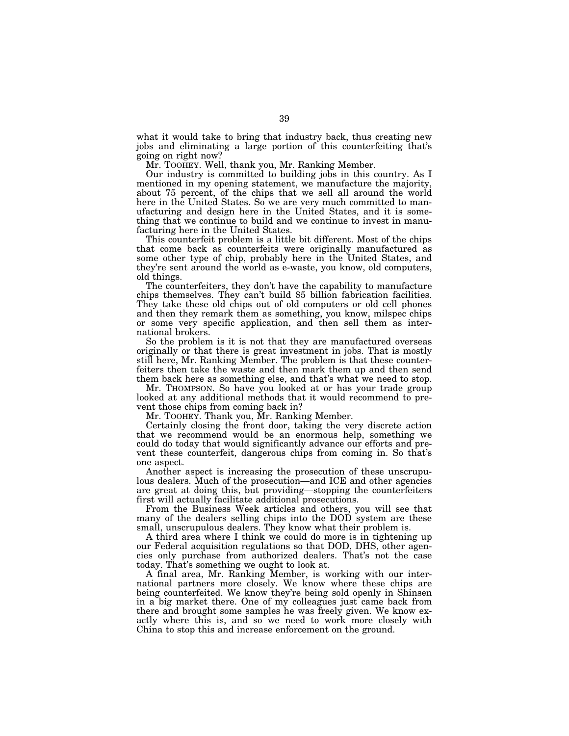what it would take to bring that industry back, thus creating new jobs and eliminating a large portion of this counterfeiting that's going on right now?

Mr. TOOHEY. Well, thank you, Mr. Ranking Member.

Our industry is committed to building jobs in this country. As I mentioned in my opening statement, we manufacture the majority, about 75 percent, of the chips that we sell all around the world here in the United States. So we are very much committed to manufacturing and design here in the United States, and it is something that we continue to build and we continue to invest in manufacturing here in the United States.

This counterfeit problem is a little bit different. Most of the chips that come back as counterfeits were originally manufactured as some other type of chip, probably here in the United States, and they're sent around the world as e-waste, you know, old computers,

old things.<br>The counterfeiters, they don't have the capability to manufacture chips themselves. They can't build \$5 billion fabrication facilities. They take these old chips out of old computers or old cell phones and then they remark them as something, you know, milspec chips or some very specific application, and then sell them as international brokers.

So the problem is it is not that they are manufactured overseas originally or that there is great investment in jobs. That is mostly still here, Mr. Ranking Member. The problem is that these counterfeiters then take the waste and then mark them up and then send them back here as something else, and that's what we need to stop.

Mr. THOMPSON. So have you looked at or has your trade group looked at any additional methods that it would recommend to prevent those chips from coming back in?

Mr. TOOHEY. Thank you, Mr. Ranking Member.

Certainly closing the front door, taking the very discrete action that we recommend would be an enormous help, something we could do today that would significantly advance our efforts and prevent these counterfeit, dangerous chips from coming in. So that's one aspect.

Another aspect is increasing the prosecution of these unscrupulous dealers. Much of the prosecution—and ICE and other agencies are great at doing this, but providing—stopping the counterfeiters first will actually facilitate additional prosecutions.

From the Business Week articles and others, you will see that many of the dealers selling chips into the DOD system are these small, unscrupulous dealers. They know what their problem is.

A third area where I think we could do more is in tightening up our Federal acquisition regulations so that DOD, DHS, other agencies only purchase from authorized dealers. That's not the case today. That's something we ought to look at.

A final area, Mr. Ranking Member, is working with our international partners more closely. We know where these chips are being counterfeited. We know they're being sold openly in Shinsen in a big market there. One of my colleagues just came back from there and brought some samples he was freely given. We know exactly where this is, and so we need to work more closely with China to stop this and increase enforcement on the ground.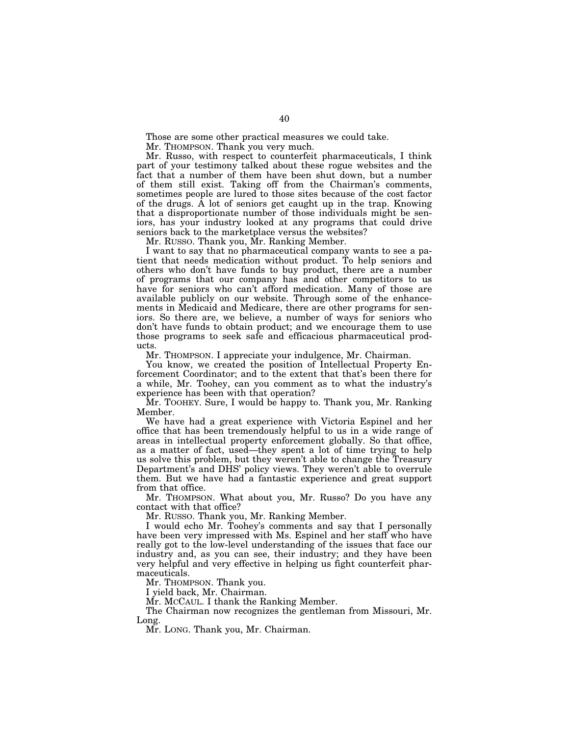Those are some other practical measures we could take.

Mr. THOMPSON. Thank you very much.

Mr. Russo, with respect to counterfeit pharmaceuticals, I think part of your testimony talked about these rogue websites and the fact that a number of them have been shut down, but a number of them still exist. Taking off from the Chairman's comments, sometimes people are lured to those sites because of the cost factor of the drugs. A lot of seniors get caught up in the trap. Knowing that a disproportionate number of those individuals might be seniors, has your industry looked at any programs that could drive seniors back to the marketplace versus the websites?

Mr. RUSSO. Thank you, Mr. Ranking Member.

I want to say that no pharmaceutical company wants to see a patient that needs medication without product. To help seniors and others who don't have funds to buy product, there are a number of programs that our company has and other competitors to us have for seniors who can't afford medication. Many of those are available publicly on our website. Through some of the enhancements in Medicaid and Medicare, there are other programs for seniors. So there are, we believe, a number of ways for seniors who don't have funds to obtain product; and we encourage them to use those programs to seek safe and efficacious pharmaceutical products.

Mr. THOMPSON. I appreciate your indulgence, Mr. Chairman.

You know, we created the position of Intellectual Property Enforcement Coordinator; and to the extent that that's been there for a while, Mr. Toohey, can you comment as to what the industry's experience has been with that operation?

Mr. TOOHEY. Sure, I would be happy to. Thank you, Mr. Ranking Member.

We have had a great experience with Victoria Espinel and her office that has been tremendously helpful to us in a wide range of areas in intellectual property enforcement globally. So that office, as a matter of fact, used—they spent a lot of time trying to help us solve this problem, but they weren't able to change the Treasury Department's and DHS' policy views. They weren't able to overrule them. But we have had a fantastic experience and great support from that office.

Mr. THOMPSON. What about you, Mr. Russo? Do you have any contact with that office?

Mr. RUSSO. Thank you, Mr. Ranking Member.

I would echo Mr. Toohey's comments and say that I personally have been very impressed with Ms. Espinel and her staff who have really got to the low-level understanding of the issues that face our industry and, as you can see, their industry; and they have been very helpful and very effective in helping us fight counterfeit pharmaceuticals.

Mr. THOMPSON. Thank you.

I yield back, Mr. Chairman.

Mr. MCCAUL. I thank the Ranking Member.

The Chairman now recognizes the gentleman from Missouri, Mr. Long.

Mr. LONG. Thank you, Mr. Chairman.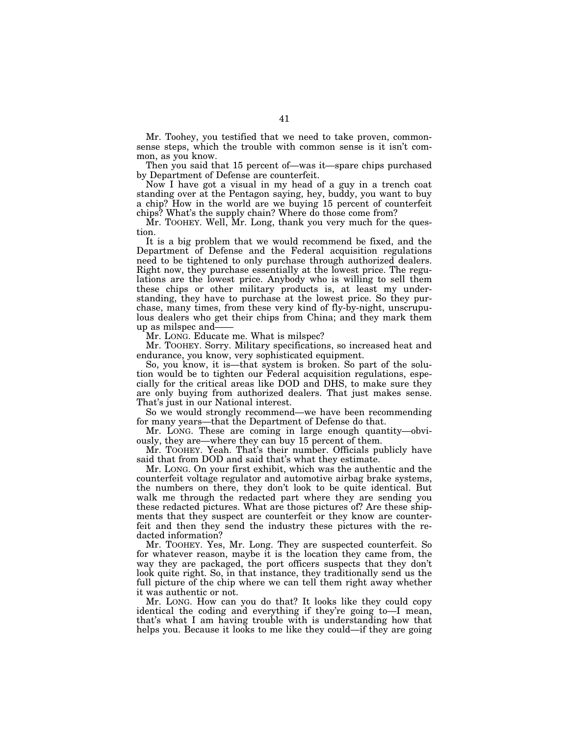Mr. Toohey, you testified that we need to take proven, commonsense steps, which the trouble with common sense is it isn't common, as you know.

Then you said that 15 percent of—was it—spare chips purchased by Department of Defense are counterfeit.

Now I have got a visual in my head of a guy in a trench coat standing over at the Pentagon saying, hey, buddy, you want to buy a chip? How in the world are we buying 15 percent of counterfeit chips? What's the supply chain? Where do those come from?

Mr. TOOHEY. Well, Mr. Long, thank you very much for the question.

It is a big problem that we would recommend be fixed, and the Department of Defense and the Federal acquisition regulations need to be tightened to only purchase through authorized dealers. Right now, they purchase essentially at the lowest price. The regulations are the lowest price. Anybody who is willing to sell them these chips or other military products is, at least my understanding, they have to purchase at the lowest price. So they purchase, many times, from these very kind of fly-by-night, unscrupulous dealers who get their chips from China; and they mark them up as milspec and——

Mr. LONG. Educate me. What is milspec?

Mr. TOOHEY. Sorry. Military specifications, so increased heat and endurance, you know, very sophisticated equipment.

So, you know, it is—that system is broken. So part of the solution would be to tighten our Federal acquisition regulations, especially for the critical areas like DOD and DHS, to make sure they are only buying from authorized dealers. That just makes sense. That's just in our National interest.

So we would strongly recommend—we have been recommending for many years—that the Department of Defense do that.

Mr. LONG. These are coming in large enough quantity—obviously, they are—where they can buy 15 percent of them.

Mr. TOOHEY. Yeah. That's their number. Officials publicly have said that from DOD and said that's what they estimate.

Mr. LONG. On your first exhibit, which was the authentic and the counterfeit voltage regulator and automotive airbag brake systems, the numbers on there, they don't look to be quite identical. But walk me through the redacted part where they are sending you these redacted pictures. What are those pictures of? Are these shipments that they suspect are counterfeit or they know are counterfeit and then they send the industry these pictures with the redacted information?

Mr. TOOHEY. Yes, Mr. Long. They are suspected counterfeit. So for whatever reason, maybe it is the location they came from, the way they are packaged, the port officers suspects that they don't look quite right. So, in that instance, they traditionally send us the full picture of the chip where we can tell them right away whether it was authentic or not.

Mr. LONG. How can you do that? It looks like they could copy identical the coding and everything if they're going to—I mean, that's what I am having trouble with is understanding how that helps you. Because it looks to me like they could—if they are going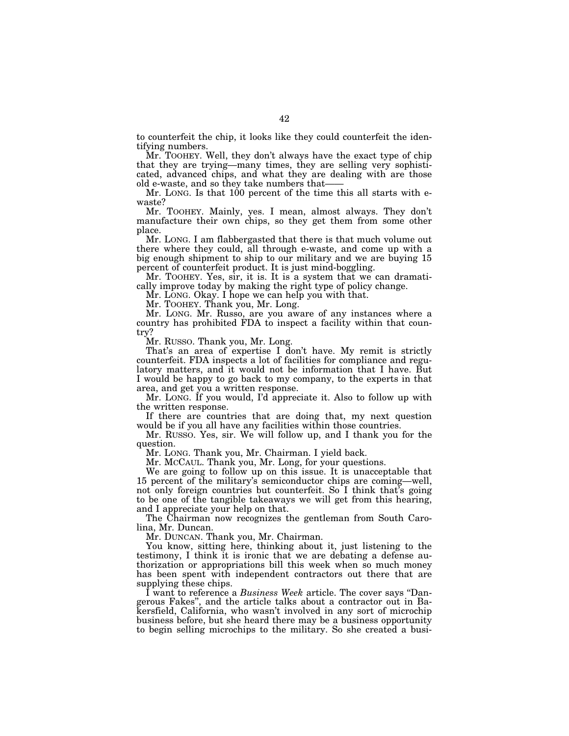to counterfeit the chip, it looks like they could counterfeit the identifying numbers.

Mr. TOOHEY. Well, they don't always have the exact type of chip that they are trying—many times, they are selling very sophisticated, advanced chips, and what they are dealing with are those old e-waste, and so they take numbers that-

Mr. LONG. Is that 100 percent of the time this all starts with ewaste?

Mr. TOOHEY. Mainly, yes. I mean, almost always. They don't manufacture their own chips, so they get them from some other place.

Mr. LONG. I am flabbergasted that there is that much volume out there where they could, all through e-waste, and come up with a big enough shipment to ship to our military and we are buying 15 percent of counterfeit product. It is just mind-boggling.

Mr. TOOHEY. Yes, sir, it is. It is a system that we can dramatically improve today by making the right type of policy change.

Mr. LONG. Okay. I hope we can help you with that.

Mr. TOOHEY. Thank you, Mr. Long.

Mr. LONG. Mr. Russo, are you aware of any instances where a country has prohibited FDA to inspect a facility within that country?

Mr. RUSSO. Thank you, Mr. Long.

That's an area of expertise I don't have. My remit is strictly counterfeit. FDA inspects a lot of facilities for compliance and regulatory matters, and it would not be information that I have. But I would be happy to go back to my company, to the experts in that area, and get you a written response.

Mr. LONG. If you would, I'd appreciate it. Also to follow up with the written response.

If there are countries that are doing that, my next question would be if you all have any facilities within those countries.

Mr. RUSSO. Yes, sir. We will follow up, and I thank you for the question.

Mr. LONG. Thank you, Mr. Chairman. I yield back.

Mr. MCCAUL. Thank you, Mr. Long, for your questions.

We are going to follow up on this issue. It is unacceptable that 15 percent of the military's semiconductor chips are coming—well, not only foreign countries but counterfeit. So I think that's going to be one of the tangible takeaways we will get from this hearing, and I appreciate your help on that.

The Chairman now recognizes the gentleman from South Carolina, Mr. Duncan.

Mr. DUNCAN. Thank you, Mr. Chairman.

You know, sitting here, thinking about it, just listening to the testimony, I think it is ironic that we are debating a defense authorization or appropriations bill this week when so much money has been spent with independent contractors out there that are supplying these chips.

I want to reference a *Business Week* article. The cover says ''Dangerous Fakes'', and the article talks about a contractor out in Bakersfield, California, who wasn't involved in any sort of microchip business before, but she heard there may be a business opportunity to begin selling microchips to the military. So she created a busi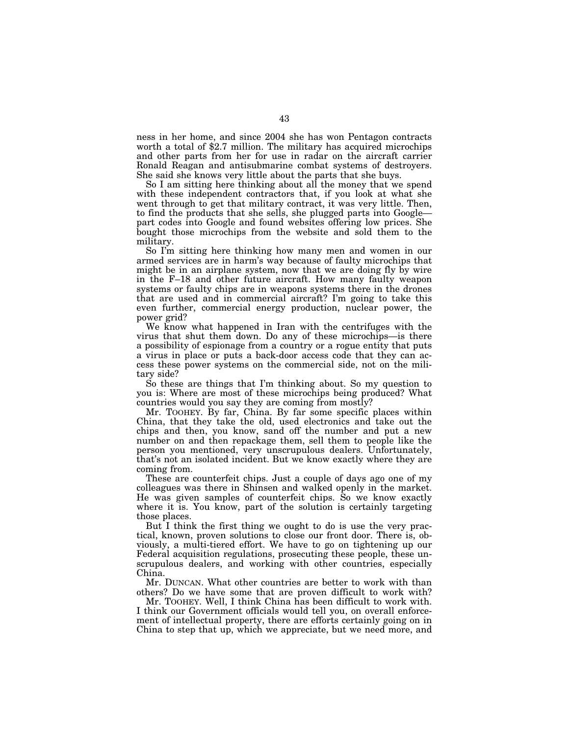ness in her home, and since 2004 she has won Pentagon contracts worth a total of \$2.7 million. The military has acquired microchips and other parts from her for use in radar on the aircraft carrier Ronald Reagan and antisubmarine combat systems of destroyers. She said she knows very little about the parts that she buys.

So I am sitting here thinking about all the money that we spend with these independent contractors that, if you look at what she went through to get that military contract, it was very little. Then, to find the products that she sells, she plugged parts into Google part codes into Google and found websites offering low prices. She bought those microchips from the website and sold them to the military.

So I'm sitting here thinking how many men and women in our armed services are in harm's way because of faulty microchips that might be in an airplane system, now that we are doing fly by wire in the F–18 and other future aircraft. How many faulty weapon systems or faulty chips are in weapons systems there in the drones that are used and in commercial aircraft? I'm going to take this even further, commercial energy production, nuclear power, the power grid?

We know what happened in Iran with the centrifuges with the virus that shut them down. Do any of these microchips—is there a possibility of espionage from a country or a rogue entity that puts a virus in place or puts a back-door access code that they can access these power systems on the commercial side, not on the military side?

So these are things that I'm thinking about. So my question to you is: Where are most of these microchips being produced? What countries would you say they are coming from mostly?

Mr. TOOHEY. By far, China. By far some specific places within China, that they take the old, used electronics and take out the chips and then, you know, sand off the number and put a new number on and then repackage them, sell them to people like the person you mentioned, very unscrupulous dealers. Unfortunately, that's not an isolated incident. But we know exactly where they are coming from.

These are counterfeit chips. Just a couple of days ago one of my colleagues was there in Shinsen and walked openly in the market. He was given samples of counterfeit chips. So we know exactly where it is. You know, part of the solution is certainly targeting those places.

But I think the first thing we ought to do is use the very practical, known, proven solutions to close our front door. There is, obviously, a multi-tiered effort. We have to go on tightening up our Federal acquisition regulations, prosecuting these people, these unscrupulous dealers, and working with other countries, especially China.

Mr. DUNCAN. What other countries are better to work with than others? Do we have some that are proven difficult to work with?

Mr. TOOHEY. Well, I think China has been difficult to work with. I think our Government officials would tell you, on overall enforcement of intellectual property, there are efforts certainly going on in China to step that up, which we appreciate, but we need more, and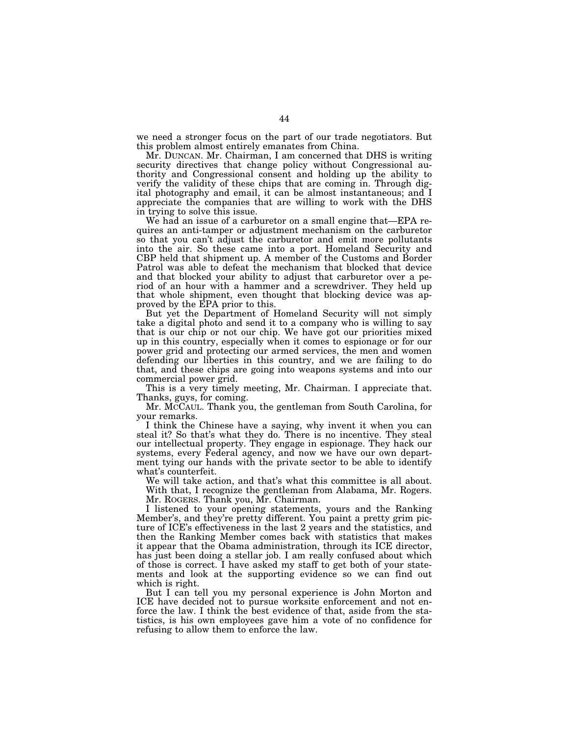we need a stronger focus on the part of our trade negotiators. But this problem almost entirely emanates from China.

Mr. DUNCAN. Mr. Chairman, I am concerned that DHS is writing security directives that change policy without Congressional authority and Congressional consent and holding up the ability to verify the validity of these chips that are coming in. Through digital photography and email, it can be almost instantaneous; and I appreciate the companies that are willing to work with the DHS in trying to solve this issue.

We had an issue of a carburetor on a small engine that—EPA requires an anti-tamper or adjustment mechanism on the carburetor so that you can't adjust the carburetor and emit more pollutants into the air. So these came into a port. Homeland Security and CBP held that shipment up. A member of the Customs and Border Patrol was able to defeat the mechanism that blocked that device and that blocked your ability to adjust that carburetor over a period of an hour with a hammer and a screwdriver. They held up that whole shipment, even thought that blocking device was approved by the EPA prior to this.

But yet the Department of Homeland Security will not simply take a digital photo and send it to a company who is willing to say that is our chip or not our chip. We have got our priorities mixed up in this country, especially when it comes to espionage or for our power grid and protecting our armed services, the men and women defending our liberties in this country, and we are failing to do that, and these chips are going into weapons systems and into our commercial power grid.

This is a very timely meeting, Mr. Chairman. I appreciate that. Thanks, guys, for coming.

Mr. MCCAUL. Thank you, the gentleman from South Carolina, for your remarks.

I think the Chinese have a saying, why invent it when you can steal it? So that's what they do. There is no incentive. They steal our intellectual property. They engage in espionage. They hack our systems, every Federal agency, and now we have our own department tying our hands with the private sector to be able to identify what's counterfeit.

We will take action, and that's what this committee is all about. With that, I recognize the gentleman from Alabama, Mr. Rogers. Mr. ROGERS. Thank you, Mr. Chairman.

I listened to your opening statements, yours and the Ranking Member's, and they're pretty different. You paint a pretty grim picture of ICE's effectiveness in the last 2 years and the statistics, and then the Ranking Member comes back with statistics that makes it appear that the Obama administration, through its ICE director, has just been doing a stellar job. I am really confused about which of those is correct. I have asked my staff to get both of your statements and look at the supporting evidence so we can find out which is right.

But I can tell you my personal experience is John Morton and ICE have decided not to pursue worksite enforcement and not enforce the law. I think the best evidence of that, aside from the statistics, is his own employees gave him a vote of no confidence for refusing to allow them to enforce the law.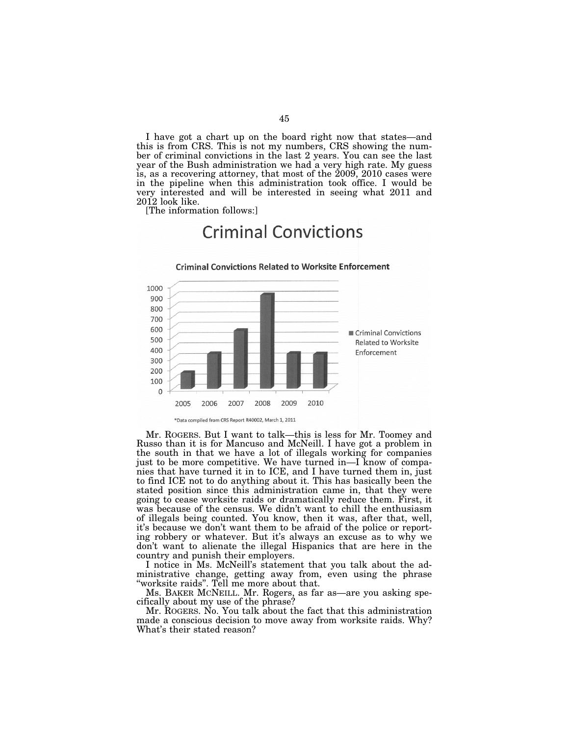I have got a chart up on the board right now that states—and this is from CRS. This is not my numbers, CRS showing the number of criminal convictions in the last 2 years. You can see the last year of the Bush administration we had a very high rate. My guess is, as a recovering attorney, that most of the 2009, 2010 cases were in the pipeline when this administration took office. I would be very interested and will be interested in seeing what 2011 and 2012 look like.

**Criminal Convictions** 

[The information follows:]



Mr. ROGERS. But I want to talk—this is less for Mr. Toomey and Russo than it is for Mancuso and McNeill. I have got a problem in the south in that we have a lot of illegals working for companies just to be more competitive. We have turned in—I know of companies that have turned it in to ICE, and I have turned them in, just to find ICE not to do anything about it. This has basically been the stated position since this administration came in, that they were going to cease worksite raids or dramatically reduce them. First, it was because of the census. We didn't want to chill the enthusiasm of illegals being counted. You know, then it was, after that, well, it's because we don't want them to be afraid of the police or reporting robbery or whatever. But it's always an excuse as to why we don't want to alienate the illegal Hispanics that are here in the country and punish their employers.

I notice in Ms. McNeill's statement that you talk about the administrative change, getting away from, even using the phrase ''worksite raids''. Tell me more about that.

Ms. BAKER MCNEILL. Mr. Rogers, as far as—are you asking specifically about my use of the phrase?

Mr. ROGERS. No. You talk about the fact that this administration made a conscious decision to move away from worksite raids. Why? What's their stated reason?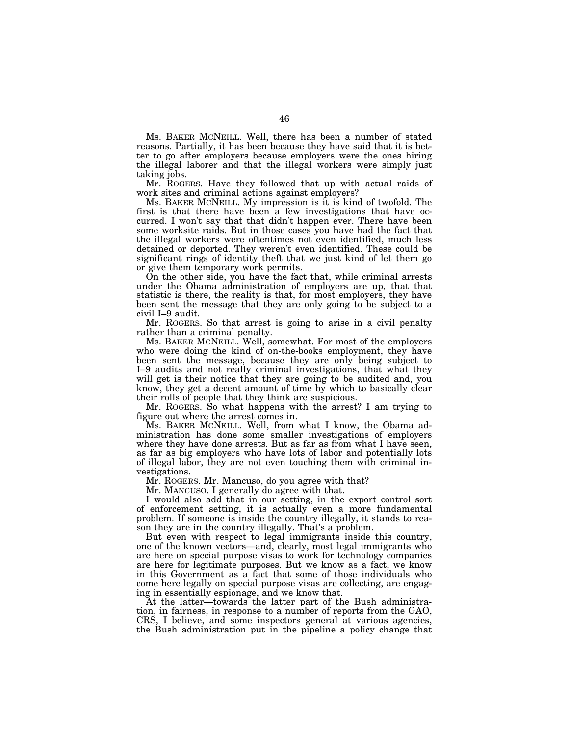Ms. BAKER MCNEILL. Well, there has been a number of stated reasons. Partially, it has been because they have said that it is better to go after employers because employers were the ones hiring the illegal laborer and that the illegal workers were simply just taking jobs.

Mr. ROGERS. Have they followed that up with actual raids of work sites and criminal actions against employers?

Ms. BAKER MCNEILL. My impression is it is kind of twofold. The first is that there have been a few investigations that have occurred. I won't say that that didn't happen ever. There have been some worksite raids. But in those cases you have had the fact that the illegal workers were oftentimes not even identified, much less detained or deported. They weren't even identified. These could be significant rings of identity theft that we just kind of let them go or give them temporary work permits.

On the other side, you have the fact that, while criminal arrests under the Obama administration of employers are up, that that statistic is there, the reality is that, for most employers, they have been sent the message that they are only going to be subject to a civil I–9 audit.

Mr. ROGERS. So that arrest is going to arise in a civil penalty rather than a criminal penalty.

Ms. BAKER MCNEILL. Well, somewhat. For most of the employers who were doing the kind of on-the-books employment, they have been sent the message, because they are only being subject to I–9 audits and not really criminal investigations, that what they will get is their notice that they are going to be audited and, you know, they get a decent amount of time by which to basically clear their rolls of people that they think are suspicious.

Mr. ROGERS. So what happens with the arrest? I am trying to figure out where the arrest comes in.

Ms. BAKER MCNEILL. Well, from what I know, the Obama administration has done some smaller investigations of employers where they have done arrests. But as far as from what I have seen, as far as big employers who have lots of labor and potentially lots of illegal labor, they are not even touching them with criminal investigations.

Mr. ROGERS. Mr. Mancuso, do you agree with that?

Mr. MANCUSO. I generally do agree with that.

I would also add that in our setting, in the export control sort of enforcement setting, it is actually even a more fundamental problem. If someone is inside the country illegally, it stands to reason they are in the country illegally. That's a problem.

But even with respect to legal immigrants inside this country, one of the known vectors—and, clearly, most legal immigrants who are here on special purpose visas to work for technology companies are here for legitimate purposes. But we know as a fact, we know in this Government as a fact that some of those individuals who come here legally on special purpose visas are collecting, are engaging in essentially espionage, and we know that.

At the latter—towards the latter part of the Bush administration, in fairness, in response to a number of reports from the GAO, CRS, I believe, and some inspectors general at various agencies, the Bush administration put in the pipeline a policy change that